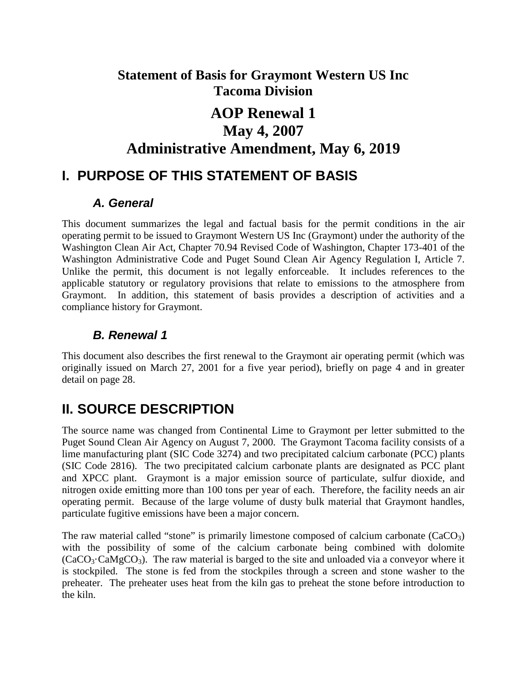# **Statement of Basis for Graymont Western US Inc Tacoma Division**

# **AOP Renewal 1 May 4, 2007 Administrative Amendment, May 6, 2019**

# **I. PURPOSE OF THIS STATEMENT OF BASIS**

## *A. General*

This document summarizes the legal and factual basis for the permit conditions in the air operating permit to be issued to Graymont Western US Inc (Graymont) under the authority of the Washington Clean Air Act, Chapter 70.94 Revised Code of Washington, Chapter 173-401 of the Washington Administrative Code and Puget Sound Clean Air Agency Regulation I, Article 7. Unlike the permit, this document is not legally enforceable. It includes references to the applicable statutory or regulatory provisions that relate to emissions to the atmosphere from Graymont. In addition, this statement of basis provides a description of activities and a compliance history for Graymont.

## *B. Renewal 1*

This document also describes the first renewal to the Graymont air operating permit (which was originally issued on March 27, 2001 for a five year period), briefly on page [4](#page-3-0) and in greater detail on page [28.](#page-27-0)

# **II. SOURCE DESCRIPTION**

The source name was changed from Continental Lime to Graymont per letter submitted to the Puget Sound Clean Air Agency on August 7, 2000. The Graymont Tacoma facility consists of a lime manufacturing plant (SIC Code 3274) and two precipitated calcium carbonate (PCC) plants (SIC Code 2816). The two precipitated calcium carbonate plants are designated as PCC plant and XPCC plant. Graymont is a major emission source of particulate, sulfur dioxide, and nitrogen oxide emitting more than 100 tons per year of each. Therefore, the facility needs an air operating permit. Because of the large volume of dusty bulk material that Graymont handles, particulate fugitive emissions have been a major concern.

The raw material called "stone" is primarily limestone composed of calcium carbonate  $(CaCO<sub>3</sub>)$ with the possibility of some of the calcium carbonate being combined with dolomite  $(CaCO<sub>3</sub>·CaMgCO<sub>3</sub>)$ . The raw material is barged to the site and unloaded via a conveyor where it is stockpiled. The stone is fed from the stockpiles through a screen and stone washer to the preheater. The preheater uses heat from the kiln gas to preheat the stone before introduction to the kiln.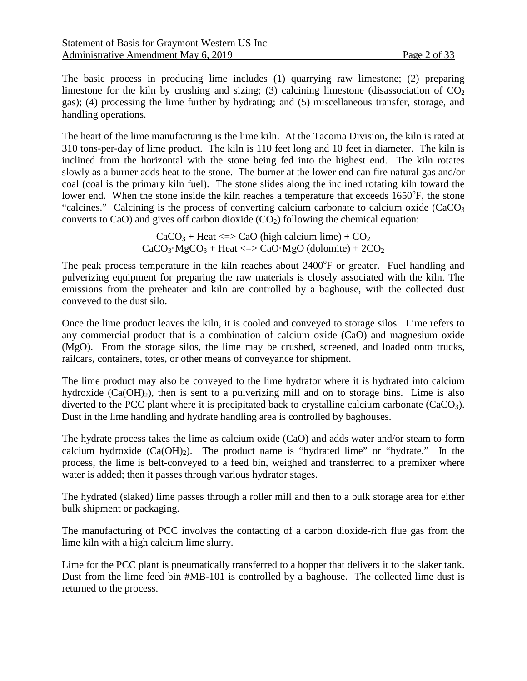The basic process in producing lime includes (1) quarrying raw limestone; (2) preparing limestone for the kiln by crushing and sizing; (3) calcining limestone (disassociation of  $CO<sub>2</sub>$ gas); (4) processing the lime further by hydrating; and (5) miscellaneous transfer, storage, and handling operations.

The heart of the lime manufacturing is the lime kiln. At the Tacoma Division, the kiln is rated at 310 tons-per-day of lime product. The kiln is 110 feet long and 10 feet in diameter. The kiln is inclined from the horizontal with the stone being fed into the highest end. The kiln rotates slowly as a burner adds heat to the stone. The burner at the lower end can fire natural gas and/or coal (coal is the primary kiln fuel). The stone slides along the inclined rotating kiln toward the lower end. When the stone inside the kiln reaches a temperature that exceeds 1650°F, the stone "calcines." Calcining is the process of converting calcium carbonate to calcium oxide  $(CaCO<sub>3</sub>)$ converts to CaO) and gives off carbon dioxide  $(CO<sub>2</sub>)$  following the chemical equation:

> $CaCO<sub>3</sub> + Heat < 2 > CaO$  (high calcium lime) +  $CO<sub>2</sub>$  $CaCO<sub>3</sub>·MgCO<sub>3</sub> + Heat <sub>5</sub> < CaO·MgO (dolomite) + 2CO<sub>2</sub>$

The peak process temperature in the kiln reaches about 2400°F or greater. Fuel handling and pulverizing equipment for preparing the raw materials is closely associated with the kiln. The emissions from the preheater and kiln are controlled by a baghouse, with the collected dust conveyed to the dust silo.

Once the lime product leaves the kiln, it is cooled and conveyed to storage silos. Lime refers to any commercial product that is a combination of calcium oxide (CaO) and magnesium oxide (MgO). From the storage silos, the lime may be crushed, screened, and loaded onto trucks, railcars, containers, totes, or other means of conveyance for shipment.

The lime product may also be conveyed to the lime hydrator where it is hydrated into calcium hydroxide  $(Ca(OH<sub>2</sub>))$ , then is sent to a pulverizing mill and on to storage bins. Lime is also diverted to the PCC plant where it is precipitated back to crystalline calcium carbonate  $(CaCO<sub>3</sub>)$ . Dust in the lime handling and hydrate handling area is controlled by baghouses.

The hydrate process takes the lime as calcium oxide (CaO) and adds water and/or steam to form calcium hydroxide  $(Ca(OH<sub>2</sub>)$ . The product name is "hydrated lime" or "hydrate." In the process, the lime is belt-conveyed to a feed bin, weighed and transferred to a premixer where water is added; then it passes through various hydrator stages.

The hydrated (slaked) lime passes through a roller mill and then to a bulk storage area for either bulk shipment or packaging.

The manufacturing of PCC involves the contacting of a carbon dioxide-rich flue gas from the lime kiln with a high calcium lime slurry.

Lime for the PCC plant is pneumatically transferred to a hopper that delivers it to the slaker tank. Dust from the lime feed bin #MB-101 is controlled by a baghouse. The collected lime dust is returned to the process.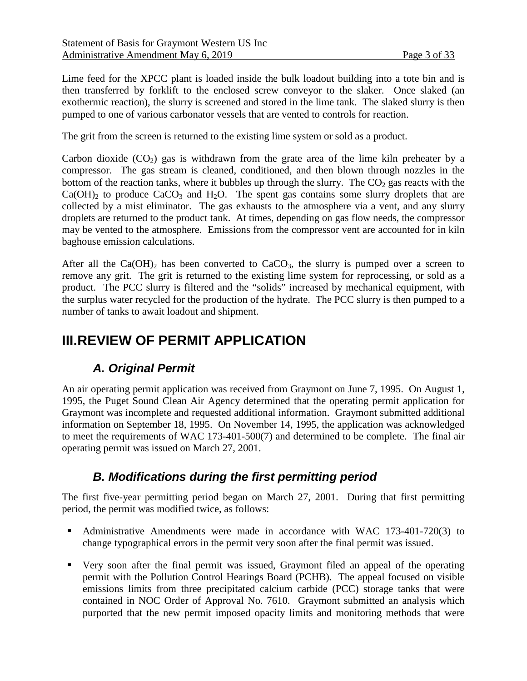Lime feed for the XPCC plant is loaded inside the bulk loadout building into a tote bin and is then transferred by forklift to the enclosed screw conveyor to the slaker. Once slaked (an exothermic reaction), the slurry is screened and stored in the lime tank. The slaked slurry is then pumped to one of various carbonator vessels that are vented to controls for reaction.

The grit from the screen is returned to the existing lime system or sold as a product.

Carbon dioxide  $(CO_2)$  gas is withdrawn from the grate area of the lime kiln preheater by a compressor. The gas stream is cleaned, conditioned, and then blown through nozzles in the bottom of the reaction tanks, where it bubbles up through the slurry. The  $CO<sub>2</sub>$  gas reacts with the  $Ca(OH)$ <sub>2</sub> to produce  $CaCO<sub>3</sub>$  and H<sub>2</sub>O. The spent gas contains some slurry droplets that are collected by a mist eliminator. The gas exhausts to the atmosphere via a vent, and any slurry droplets are returned to the product tank. At times, depending on gas flow needs, the compressor may be vented to the atmosphere. Emissions from the compressor vent are accounted for in kiln baghouse emission calculations.

After all the Ca(OH)<sub>2</sub> has been converted to CaCO<sub>3</sub>, the slurry is pumped over a screen to remove any grit. The grit is returned to the existing lime system for reprocessing, or sold as a product. The PCC slurry is filtered and the "solids" increased by mechanical equipment, with the surplus water recycled for the production of the hydrate. The PCC slurry is then pumped to a number of tanks to await loadout and shipment.

# **III.REVIEW OF PERMIT APPLICATION**

## *A. Original Permit*

An air operating permit application was received from Graymont on June 7, 1995. On August 1, 1995, the Puget Sound Clean Air Agency determined that the operating permit application for Graymont was incomplete and requested additional information. Graymont submitted additional information on September 18, 1995. On November 14, 1995, the application was acknowledged to meet the requirements of WAC 173-401-500(7) and determined to be complete. The final air operating permit was issued on March 27, 2001.

## *B. Modifications during the first permitting period*

<span id="page-2-0"></span>The first five-year permitting period began on March 27, 2001. During that first permitting period, the permit was modified twice, as follows:

- Administrative Amendments were made in accordance with WAC 173-401-720(3) to change typographical errors in the permit very soon after the final permit was issued.
- Very soon after the final permit was issued, Graymont filed an appeal of the operating permit with the Pollution Control Hearings Board (PCHB). The appeal focused on visible emissions limits from three precipitated calcium carbide (PCC) storage tanks that were contained in NOC Order of Approval No. 7610. Graymont submitted an analysis which purported that the new permit imposed opacity limits and monitoring methods that were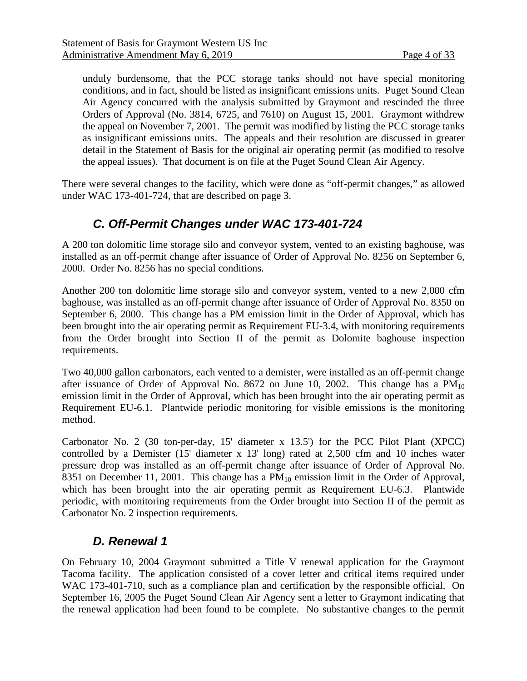unduly burdensome, that the PCC storage tanks should not have special monitoring conditions, and in fact, should be listed as insignificant emissions units. Puget Sound Clean Air Agency concurred with the analysis submitted by Graymont and rescinded the three Orders of Approval (No. 3814, 6725, and 7610) on August 15, 2001. Graymont withdrew the appeal on November 7, 2001. The permit was modified by listing the PCC storage tanks as insignificant emissions units. The appeals and their resolution are discussed in greater detail in the Statement of Basis for the original air operating permit (as modified to resolve the appeal issues). That document is on file at the Puget Sound Clean Air Agency.

There were several changes to the facility, which were done as "off-permit changes," as allowed under WAC 173-401-724, that are described on page [3.](#page-2-0)

## *C. Off-Permit Changes under WAC 173-401-724*

A 200 ton dolomitic lime storage silo and conveyor system, vented to an existing baghouse, was installed as an off-permit change after issuance of Order of Approval No. 8256 on September 6, 2000.Order No. 8256 has no special conditions.

Another 200 ton dolomitic lime storage silo and conveyor system, vented to a new 2,000 cfm baghouse, was installed as an off-permit change after issuance of Order of Approval No. 8350 on September 6, 2000. This change has a PM emission limit in the Order of Approval, which has been brought into the air operating permit as Requirement EU-3.4, with monitoring requirements from the Order brought into Section II of the permit as Dolomite baghouse inspection requirements.

Two 40,000 gallon carbonators, each vented to a demister, were installed as an off-permit change after issuance of Order of Approval No. 8672 on June 10, 2002. This change has a  $PM_{10}$ emission limit in the Order of Approval, which has been brought into the air operating permit as Requirement EU-6.1. Plantwide periodic monitoring for visible emissions is the monitoring method.

Carbonator No. 2 (30 ton-per-day, 15' diameter x 13.5') for the PCC Pilot Plant (XPCC) controlled by a Demister (15' diameter x 13' long) rated at 2,500 cfm and 10 inches water pressure drop was installed as an off-permit change after issuance of Order of Approval No. 8351 on December 11, 2001. This change has a  $PM_{10}$  emission limit in the Order of Approval, which has been brought into the air operating permit as Requirement EU-6.3. Plantwide periodic, with monitoring requirements from the Order brought into Section II of the permit as Carbonator No. 2 inspection requirements.

## *D. Renewal 1*

<span id="page-3-0"></span>On February 10, 2004 Graymont submitted a Title V renewal application for the Graymont Tacoma facility. The application consisted of a cover letter and critical items required under WAC 173-401-710, such as a compliance plan and certification by the responsible official. On September 16, 2005 the Puget Sound Clean Air Agency sent a letter to Graymont indicating that the renewal application had been found to be complete. No substantive changes to the permit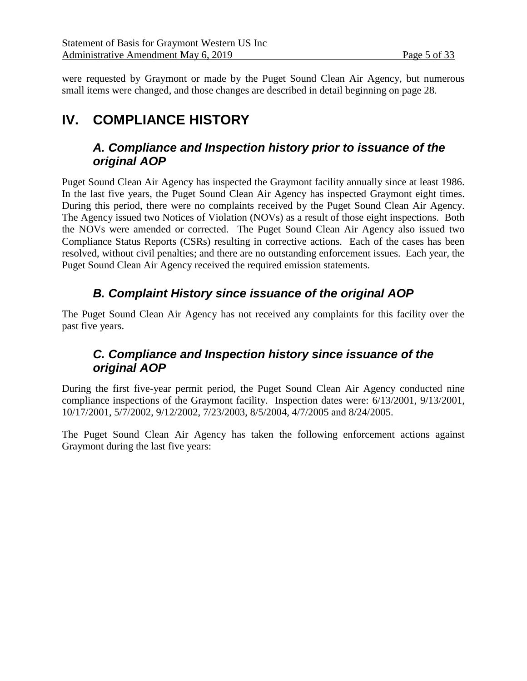were requested by Graymont or made by the Puget Sound Clean Air Agency, but numerous small items were changed, and those changes are described in detail beginning on page [28.](#page-27-0)

# **IV. COMPLIANCE HISTORY**

## *A. Compliance and Inspection history prior to issuance of the original AOP*

Puget Sound Clean Air Agency has inspected the Graymont facility annually since at least 1986. In the last five years, the Puget Sound Clean Air Agency has inspected Graymont eight times. During this period, there were no complaints received by the Puget Sound Clean Air Agency. The Agency issued two Notices of Violation (NOVs) as a result of those eight inspections. Both the NOVs were amended or corrected. The Puget Sound Clean Air Agency also issued two Compliance Status Reports (CSRs) resulting in corrective actions. Each of the cases has been resolved, without civil penalties; and there are no outstanding enforcement issues. Each year, the Puget Sound Clean Air Agency received the required emission statements.

## *B. Complaint History since issuance of the original AOP*

The Puget Sound Clean Air Agency has not received any complaints for this facility over the past five years.

## *C. Compliance and Inspection history since issuance of the original AOP*

During the first five-year permit period, the Puget Sound Clean Air Agency conducted nine compliance inspections of the Graymont facility. Inspection dates were: 6/13/2001, 9/13/2001, 10/17/2001, 5/7/2002, 9/12/2002, 7/23/2003, 8/5/2004, 4/7/2005 and 8/24/2005.

The Puget Sound Clean Air Agency has taken the following enforcement actions against Graymont during the last five years: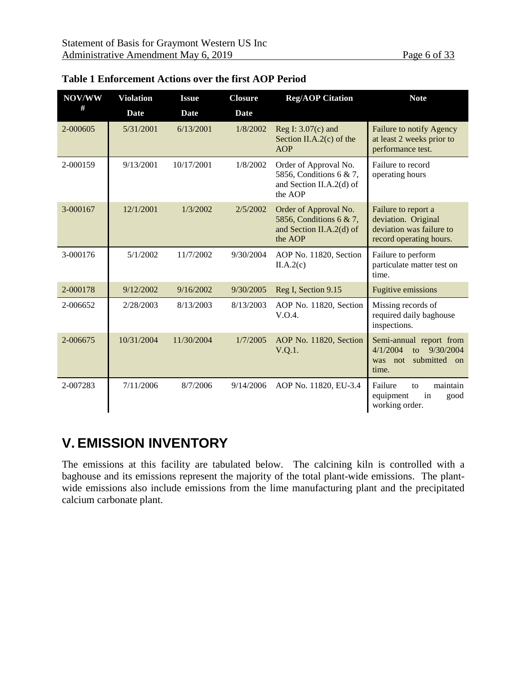| NOV/WW   | <b>Violation</b> | <b>Issue</b> | <b>Closure</b> | <b>Reg/AOP Citation</b>                                                                 | <b>Note</b>                                                                                       |
|----------|------------------|--------------|----------------|-----------------------------------------------------------------------------------------|---------------------------------------------------------------------------------------------------|
| #        | Date             | Date         | Date           |                                                                                         |                                                                                                   |
| 2-000605 | 5/31/2001        | 6/13/2001    | 1/8/2002       | Reg I: $3.07(c)$ and<br>Section II.A.2 $(c)$ of the<br><b>AOP</b>                       | Failure to notify Agency<br>at least 2 weeks prior to<br>performance test.                        |
| 2-000159 | 9/13/2001        | 10/17/2001   | 1/8/2002       | Order of Approval No.<br>5856, Conditions 6 & 7,<br>and Section II.A.2(d) of<br>the AOP | Failure to record<br>operating hours                                                              |
| 3-000167 | 12/1/2001        | 1/3/2002     | 2/5/2002       | Order of Approval No.<br>5856, Conditions 6 & 7,<br>and Section II.A.2(d) of<br>the AOP | Failure to report a<br>deviation. Original<br>deviation was failure to<br>record operating hours. |
| 3-000176 | 5/1/2002         | 11/7/2002    | 9/30/2004      | AOP No. 11820, Section<br>II.A.2(c)                                                     | Failure to perform<br>particulate matter test on<br>time.                                         |
| 2-000178 | 9/12/2002        | 9/16/2002    | 9/30/2005      | Reg I, Section 9.15                                                                     | Fugitive emissions                                                                                |
| 2-006652 | 2/28/2003        | 8/13/2003    | 8/13/2003      | AOP No. 11820, Section<br>V.O.4.                                                        | Missing records of<br>required daily baghouse<br>inspections.                                     |
| 2-006675 | 10/31/2004       | 11/30/2004   | 1/7/2005       | AOP No. 11820, Section<br>V.Q.1.                                                        | Semi-annual report from<br>4/1/2004<br>to 9/30/2004<br>submitted on<br>was not<br>time.           |
| 2-007283 | 7/11/2006        | 8/7/2006     | 9/14/2006      | AOP No. 11820, EU-3.4                                                                   | Failure<br>maintain<br>to<br>equipment<br>in<br>good<br>working order.                            |

#### **Table 1 Enforcement Actions over the first AOP Period**

# **V. EMISSION INVENTORY**

The emissions at this facility are tabulated below. The calcining kiln is controlled with a baghouse and its emissions represent the majority of the total plant-wide emissions. The plantwide emissions also include emissions from the lime manufacturing plant and the precipitated calcium carbonate plant.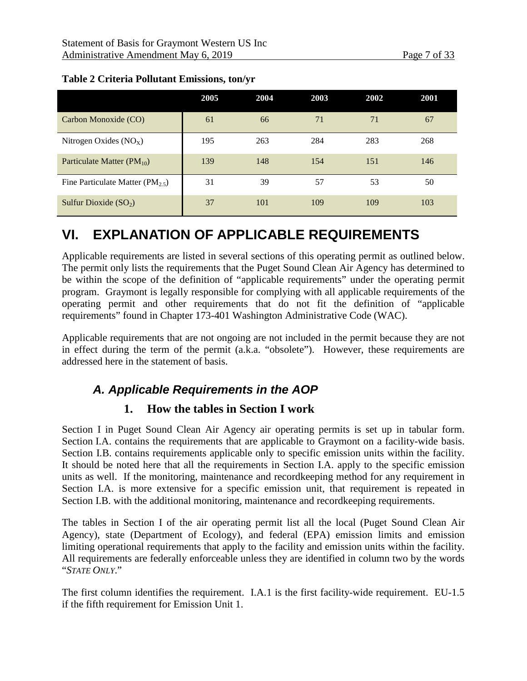|                                      | 2005 | 2004 | 2003 | 2002 | 2001 |
|--------------------------------------|------|------|------|------|------|
| Carbon Monoxide (CO)                 | 61   | 66   | 71   | 71   | 67   |
| Nitrogen Oxides $(NOx)$              | 195  | 263  | 284  | 283  | 268  |
| Particulate Matter $(PM_{10})$       | 139  | 148  | 154  | 151  | 146  |
| Fine Particulate Matter $(PM_{2.5})$ | 31   | 39   | 57   | 53   | 50   |
| Sulfur Dioxide $(SO2)$               | 37   | 101  | 109  | 109  | 103  |

#### **Table 2 Criteria Pollutant Emissions, ton/yr**

# **VI. EXPLANATION OF APPLICABLE REQUIREMENTS**

Applicable requirements are listed in several sections of this operating permit as outlined below. The permit only lists the requirements that the Puget Sound Clean Air Agency has determined to be within the scope of the definition of "applicable requirements" under the operating permit program. Graymont is legally responsible for complying with all applicable requirements of the operating permit and other requirements that do not fit the definition of "applicable requirements" found in Chapter 173-401 Washington Administrative Code (WAC).

Applicable requirements that are not ongoing are not included in the permit because they are not in effect during the term of the permit (a.k.a. "obsolete"). However, these requirements are addressed here in the statement of basis.

## *A. Applicable Requirements in the AOP*

#### **1. How the tables in Section I work**

Section I in Puget Sound Clean Air Agency air operating permits is set up in tabular form. Section I.A. contains the requirements that are applicable to Graymont on a facility-wide basis. Section I.B. contains requirements applicable only to specific emission units within the facility. It should be noted here that all the requirements in Section I.A. apply to the specific emission units as well. If the monitoring, maintenance and recordkeeping method for any requirement in Section I.A. is more extensive for a specific emission unit, that requirement is repeated in Section I.B. with the additional monitoring, maintenance and recordkeeping requirements.

The tables in Section I of the air operating permit list all the local (Puget Sound Clean Air Agency), state (Department of Ecology), and federal (EPA) emission limits and emission limiting operational requirements that apply to the facility and emission units within the facility. All requirements are federally enforceable unless they are identified in column two by the words "*STATE ONLY*."

The first column identifies the requirement. I.A.1 is the first facility-wide requirement. EU-1.5 if the fifth requirement for Emission Unit 1.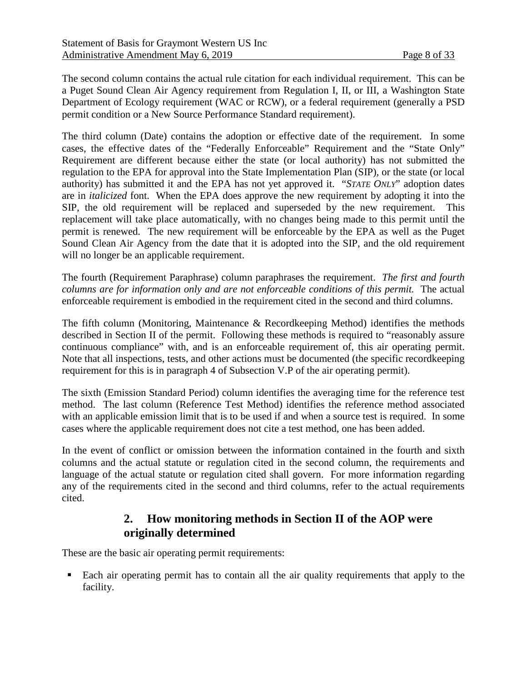The second column contains the actual rule citation for each individual requirement. This can be a Puget Sound Clean Air Agency requirement from Regulation I, II, or III, a Washington State Department of Ecology requirement (WAC or RCW), or a federal requirement (generally a PSD permit condition or a New Source Performance Standard requirement).

The third column (Date) contains the adoption or effective date of the requirement. In some cases, the effective dates of the "Federally Enforceable" Requirement and the "State Only" Requirement are different because either the state (or local authority) has not submitted the regulation to the EPA for approval into the State Implementation Plan (SIP), or the state (or local authority) has submitted it and the EPA has not yet approved it. "*STATE ONLY*" adoption dates are in *italicized* font. When the EPA does approve the new requirement by adopting it into the SIP, the old requirement will be replaced and superseded by the new requirement. This replacement will take place automatically, with no changes being made to this permit until the permit is renewed. The new requirement will be enforceable by the EPA as well as the Puget Sound Clean Air Agency from the date that it is adopted into the SIP, and the old requirement will no longer be an applicable requirement.

The fourth (Requirement Paraphrase) column paraphrases the requirement. *The first and fourth columns are for information only and are not enforceable conditions of this permit.* The actual enforceable requirement is embodied in the requirement cited in the second and third columns.

The fifth column (Monitoring, Maintenance & Recordkeeping Method) identifies the methods described in Section II of the permit. Following these methods is required to "reasonably assure continuous compliance" with, and is an enforceable requirement of, this air operating permit. Note that all inspections, tests, and other actions must be documented (the specific recordkeeping requirement for this is in paragraph 4 of Subsection V.P of the air operating permit).

The sixth (Emission Standard Period) column identifies the averaging time for the reference test method. The last column (Reference Test Method) identifies the reference method associated with an applicable emission limit that is to be used if and when a source test is required. In some cases where the applicable requirement does not cite a test method, one has been added.

In the event of conflict or omission between the information contained in the fourth and sixth columns and the actual statute or regulation cited in the second column, the requirements and language of the actual statute or regulation cited shall govern. For more information regarding any of the requirements cited in the second and third columns, refer to the actual requirements cited.

### **2. How monitoring methods in Section II of the AOP were originally determined**

<span id="page-7-0"></span>These are the basic air operating permit requirements:

 Each air operating permit has to contain all the air quality requirements that apply to the facility.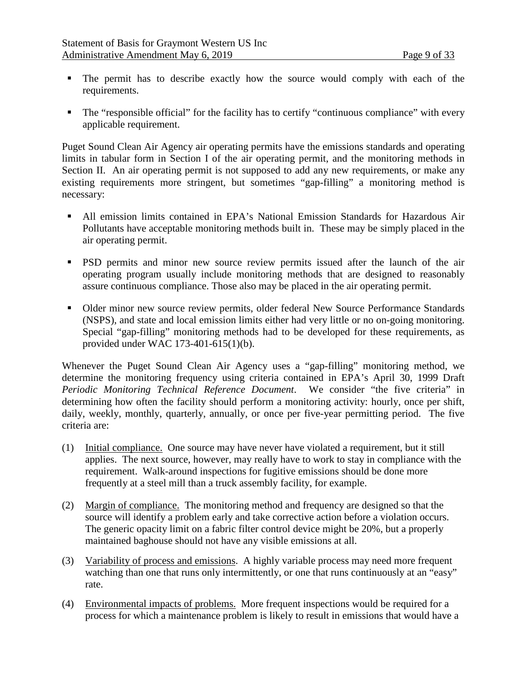- The permit has to describe exactly how the source would comply with each of the requirements.
- The "responsible official" for the facility has to certify "continuous compliance" with every applicable requirement.

Puget Sound Clean Air Agency air operating permits have the emissions standards and operating limits in tabular form in Section I of the air operating permit, and the monitoring methods in Section II. An air operating permit is not supposed to add any new requirements, or make any existing requirements more stringent, but sometimes "gap-filling" a monitoring method is necessary:

- All emission limits contained in EPA's National Emission Standards for Hazardous Air Pollutants have acceptable monitoring methods built in. These may be simply placed in the air operating permit.
- **PSD** permits and minor new source review permits issued after the launch of the air operating program usually include monitoring methods that are designed to reasonably assure continuous compliance. Those also may be placed in the air operating permit.
- Older minor new source review permits, older federal New Source Performance Standards (NSPS), and state and local emission limits either had very little or no on-going monitoring. Special "gap-filling" monitoring methods had to be developed for these requirements, as provided under WAC 173-401-615(1)(b).

Whenever the Puget Sound Clean Air Agency uses a "gap-filling" monitoring method, we determine the monitoring frequency using criteria contained in EPA's April 30, 1999 Draft *Periodic Monitoring Technical Reference Document*. We consider "the five criteria" in determining how often the facility should perform a monitoring activity: hourly, once per shift, daily, weekly, monthly, quarterly, annually, or once per five-year permitting period. The five criteria are:

- (1) Initial compliance. One source may have never have violated a requirement, but it still applies. The next source, however, may really have to work to stay in compliance with the requirement. Walk-around inspections for fugitive emissions should be done more frequently at a steel mill than a truck assembly facility, for example.
- (2) Margin of compliance. The monitoring method and frequency are designed so that the source will identify a problem early and take corrective action before a violation occurs. The generic opacity limit on a fabric filter control device might be 20%, but a properly maintained baghouse should not have any visible emissions at all.
- (3) Variability of process and emissions. A highly variable process may need more frequent watching than one that runs only intermittently, or one that runs continuously at an "easy" rate.
- (4) Environmental impacts of problems. More frequent inspections would be required for a process for which a maintenance problem is likely to result in emissions that would have a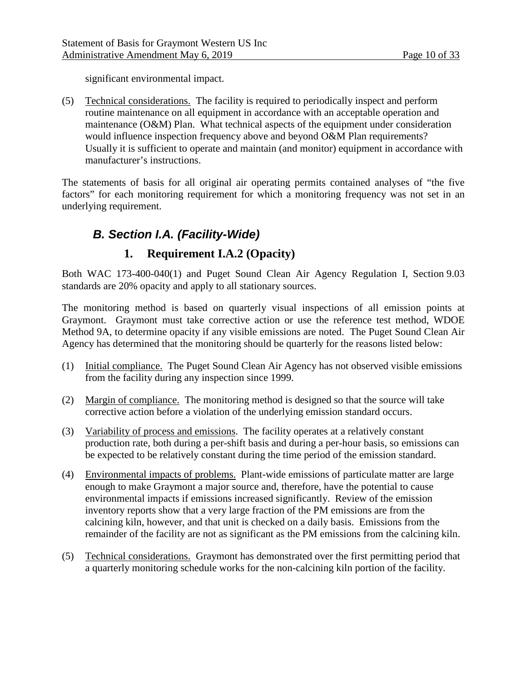significant environmental impact.

(5) Technical considerations. The facility is required to periodically inspect and perform routine maintenance on all equipment in accordance with an acceptable operation and maintenance (O&M) Plan. What technical aspects of the equipment under consideration would influence inspection frequency above and beyond O&M Plan requirements? Usually it is sufficient to operate and maintain (and monitor) equipment in accordance with manufacturer's instructions.

The statements of basis for all original air operating permits contained analyses of "the five factors" for each monitoring requirement for which a monitoring frequency was not set in an underlying requirement.

# *B. Section I.A. (Facility-Wide)*

## **1. Requirement I.A.2 (Opacity)**

Both WAC 173-400-040(1) and Puget Sound Clean Air Agency Regulation I, Section 9.03 standards are 20% opacity and apply to all stationary sources.

The monitoring method is based on quarterly visual inspections of all emission points at Graymont. Graymont must take corrective action or use the reference test method, WDOE Method 9A, to determine opacity if any visible emissions are noted. The Puget Sound Clean Air Agency has determined that the monitoring should be quarterly for the reasons listed below:

- (1) Initial compliance. The Puget Sound Clean Air Agency has not observed visible emissions from the facility during any inspection since 1999.
- (2) Margin of compliance. The monitoring method is designed so that the source will take corrective action before a violation of the underlying emission standard occurs.
- (3) Variability of process and emissions. The facility operates at a relatively constant production rate, both during a per-shift basis and during a per-hour basis, so emissions can be expected to be relatively constant during the time period of the emission standard.
- (4) Environmental impacts of problems. Plant-wide emissions of particulate matter are large enough to make Graymont a major source and, therefore, have the potential to cause environmental impacts if emissions increased significantly. Review of the emission inventory reports show that a very large fraction of the PM emissions are from the calcining kiln, however, and that unit is checked on a daily basis. Emissions from the remainder of the facility are not as significant as the PM emissions from the calcining kiln.
- (5) Technical considerations. Graymont has demonstrated over the first permitting period that a quarterly monitoring schedule works for the non-calcining kiln portion of the facility.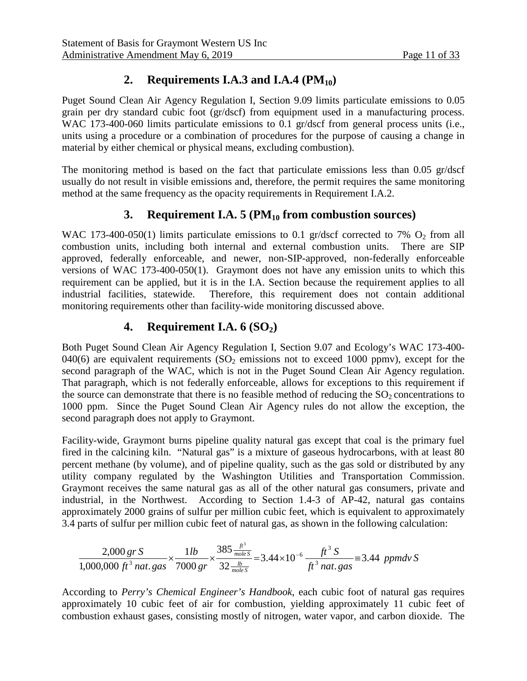## 2. **Requirements I.A.3 and I.A.4 (PM<sub>10</sub>)**

Puget Sound Clean Air Agency Regulation I, Section 9.09 limits particulate emissions to 0.05 grain per dry standard cubic foot (gr/dscf) from equipment used in a manufacturing process. WAC 173-400-060 limits particulate emissions to 0.1 gr/dscf from general process units (i.e., units using a procedure or a combination of procedures for the purpose of causing a change in material by either chemical or physical means, excluding combustion).

The monitoring method is based on the fact that particulate emissions less than 0.05 gr/dscf usually do not result in visible emissions and, therefore, the permit requires the same monitoring method at the same frequency as the opacity requirements in Requirement I.A.2.

### **3. Requirement I.A. 5 (PM10 from combustion sources)**

WAC 173-400-050(1) limits particulate emissions to 0.1 gr/dscf corrected to 7%  $O_2$  from all combustion units, including both internal and external combustion units. There are SIP approved, federally enforceable, and newer, non-SIP-approved, non-federally enforceable versions of WAC 173-400-050(1). Graymont does not have any emission units to which this requirement can be applied, but it is in the I.A. Section because the requirement applies to all industrial facilities, statewide. Therefore, this requirement does not contain additional monitoring requirements other than facility-wide monitoring discussed above.

### **4. Requirement I.A. 6 (SO<sub>2</sub>)**

Both Puget Sound Clean Air Agency Regulation I, Section 9.07 and Ecology's WAC 173-400- 040(6) are equivalent requirements  $(SO<sub>2</sub>$  emissions not to exceed 1000 ppmv), except for the second paragraph of the WAC, which is not in the Puget Sound Clean Air Agency regulation. That paragraph, which is not federally enforceable, allows for exceptions to this requirement if the source can demonstrate that there is no feasible method of reducing the  $SO<sub>2</sub>$  concentrations to 1000 ppm. Since the Puget Sound Clean Air Agency rules do not allow the exception, the second paragraph does not apply to Graymont.

Facility-wide, Graymont burns pipeline quality natural gas except that coal is the primary fuel fired in the calcining kiln. "Natural gas" is a mixture of gaseous hydrocarbons, with at least 80 percent methane (by volume), and of pipeline quality, such as the gas sold or distributed by any utility company regulated by the Washington Utilities and Transportation Commission. Graymont receives the same natural gas as all of the other natural gas consumers, private and industrial, in the Northwest. According to Section 1.4-3 of AP-42, natural gas contains approximately 2000 grains of sulfur per million cubic feet, which is equivalent to approximately 3.4 parts of sulfur per million cubic feet of natural gas, as shown in the following calculation:

$$
\frac{2,000 \text{ gr S}}{1,000,000 \text{ ft}^3 \text{ nat. gas}} \times \frac{1 \text{ lb}}{7000 \text{ gr}} \times \frac{385 \frac{\text{ft}^3}{\text{mole S}}}{32 \frac{\text{lb}}{\text{mole S}}} = 3.44 \times 10^{-6} \frac{\text{ft}^3 \text{ S}}{\text{ft}^3 \text{ nat. gas}} = 3.44 \text{ ppmd}v \text{ S}
$$

According to *Perry's Chemical Engineer's Handbook*, each cubic foot of natural gas requires approximately 10 cubic feet of air for combustion, yielding approximately 11 cubic feet of combustion exhaust gases, consisting mostly of nitrogen, water vapor, and carbon dioxide. The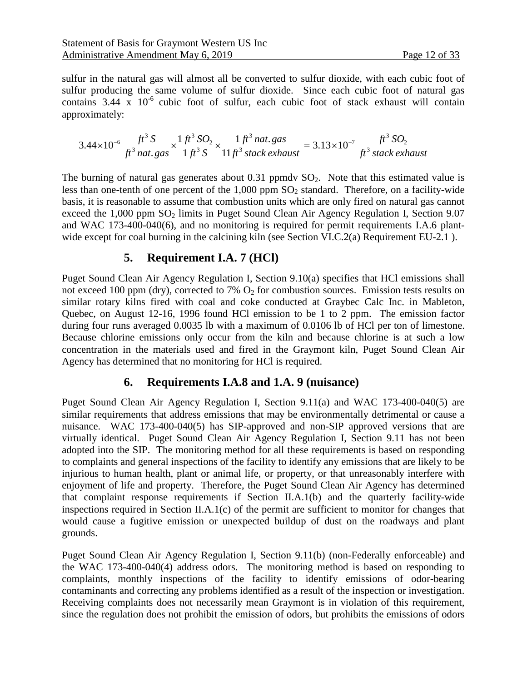sulfur in the natural gas will almost all be converted to sulfur dioxide, with each cubic foot of sulfur producing the same volume of sulfur dioxide. Since each cubic foot of natural gas contains  $3.44 \times 10^{-6}$  cubic foot of sulfur, each cubic foot of stack exhaust will contain approximately:

$$
3.44 \times 10^{-6} \frac{ft^3 S}{ft^3 n \, \text{at. gas}} \times \frac{1 \, ft^3 SO_2}{1 \, ft^3 S} \times \frac{1 \, ft^3 n \, \text{at. gas}}{11 \, ft^3 \, \text{stack exhaust}} = 3.13 \times 10^{-7} \frac{ft^3 SO_2}{ft^3 \, \text{stack exhaust}}
$$

The burning of natural gas generates about  $0.31$  ppmdv  $SO<sub>2</sub>$ . Note that this estimated value is less than one-tenth of one percent of the  $1,000$  ppm  $SO<sub>2</sub>$  standard. Therefore, on a facility-wide basis, it is reasonable to assume that combustion units which are only fired on natural gas cannot exceed the  $1,000$  ppm  $SO<sub>2</sub>$  limits in Puget Sound Clean Air Agency Regulation I, Section 9.07 and WAC 173-400-040(6), and no monitoring is required for permit requirements I.A.6 plant-wide except for coal burning in the calcining kiln (see Section [VI.C.2\(a\)](#page-17-0) [Requirement EU-2.1](#page-17-0).

#### **5. Requirement I.A. 7 (HCl)**

Puget Sound Clean Air Agency Regulation I, Section 9.10(a) specifies that HCl emissions shall not exceed 100 ppm (dry), corrected to 7%  $O_2$  for combustion sources. Emission tests results on similar rotary kilns fired with coal and coke conducted at Graybec Calc Inc. in Mableton, Quebec, on August 12-16, 1996 found HCl emission to be 1 to 2 ppm. The emission factor during four runs averaged 0.0035 lb with a maximum of 0.0106 lb of HCl per ton of limestone. Because chlorine emissions only occur from the kiln and because chlorine is at such a low concentration in the materials used and fired in the Graymont kiln, Puget Sound Clean Air Agency has determined that no monitoring for HCl is required.

#### **6. Requirements I.A.8 and 1.A. 9 (nuisance)**

Puget Sound Clean Air Agency Regulation I, Section 9.11(a) and WAC 173-400-040(5) are similar requirements that address emissions that may be environmentally detrimental or cause a nuisance. WAC 173-400-040(5) has SIP-approved and non-SIP approved versions that are virtually identical. Puget Sound Clean Air Agency Regulation I, Section 9.11 has not been adopted into the SIP. The monitoring method for all these requirements is based on responding to complaints and general inspections of the facility to identify any emissions that are likely to be injurious to human health, plant or animal life, or property, or that unreasonably interfere with enjoyment of life and property. Therefore, the Puget Sound Clean Air Agency has determined that complaint response requirements if Section II.A.1(b) and the quarterly facility-wide inspections required in Section II.A.1(c) of the permit are sufficient to monitor for changes that would cause a fugitive emission or unexpected buildup of dust on the roadways and plant grounds.

Puget Sound Clean Air Agency Regulation I, Section 9.11(b) (non-Federally enforceable) and the WAC 173-400-040(4) address odors. The monitoring method is based on responding to complaints, monthly inspections of the facility to identify emissions of odor-bearing contaminants and correcting any problems identified as a result of the inspection or investigation. Receiving complaints does not necessarily mean Graymont is in violation of this requirement, since the regulation does not prohibit the emission of odors, but prohibits the emissions of odors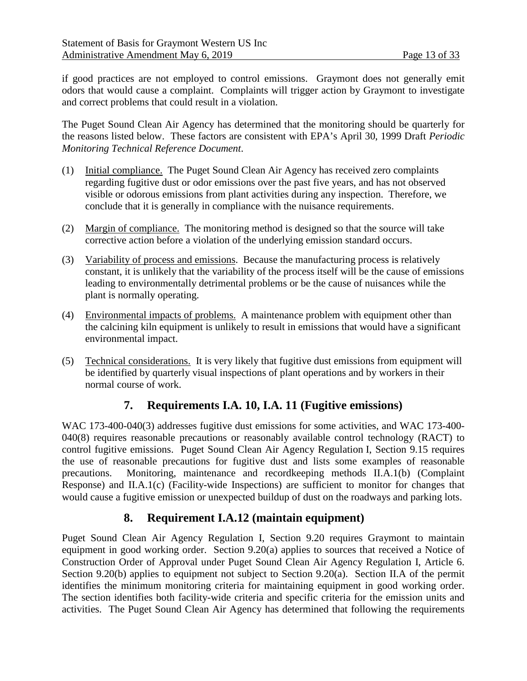if good practices are not employed to control emissions. Graymont does not generally emit odors that would cause a complaint. Complaints will trigger action by Graymont to investigate and correct problems that could result in a violation.

The Puget Sound Clean Air Agency has determined that the monitoring should be quarterly for the reasons listed below. These factors are consistent with EPA's April 30, 1999 Draft *Periodic Monitoring Technical Reference Document*.

- (1) Initial compliance. The Puget Sound Clean Air Agency has received zero complaints regarding fugitive dust or odor emissions over the past five years, and has not observed visible or odorous emissions from plant activities during any inspection. Therefore, we conclude that it is generally in compliance with the nuisance requirements.
- (2) Margin of compliance. The monitoring method is designed so that the source will take corrective action before a violation of the underlying emission standard occurs.
- (3) Variability of process and emissions. Because the manufacturing process is relatively constant, it is unlikely that the variability of the process itself will be the cause of emissions leading to environmentally detrimental problems or be the cause of nuisances while the plant is normally operating.
- (4) Environmental impacts of problems. A maintenance problem with equipment other than the calcining kiln equipment is unlikely to result in emissions that would have a significant environmental impact.
- (5) Technical considerations. It is very likely that fugitive dust emissions from equipment will be identified by quarterly visual inspections of plant operations and by workers in their normal course of work.

## **7. Requirements I.A. 10, I.A. 11 (Fugitive emissions)**

WAC 173-400-040(3) addresses fugitive dust emissions for some activities, and WAC 173-400- 040(8) requires reasonable precautions or reasonably available control technology (RACT) to control fugitive emissions. Puget Sound Clean Air Agency Regulation I, Section 9.15 requires the use of reasonable precautions for fugitive dust and lists some examples of reasonable precautions. Monitoring, maintenance and recordkeeping methods II.A.1(b) (Complaint Response) and II.A.1(c) (Facility-wide Inspections) are sufficient to monitor for changes that would cause a fugitive emission or unexpected buildup of dust on the roadways and parking lots.

## **8. Requirement I.A.12 (maintain equipment)**

Puget Sound Clean Air Agency Regulation I, Section 9.20 requires Graymont to maintain equipment in good working order. Section 9.20(a) applies to sources that received a Notice of Construction Order of Approval under Puget Sound Clean Air Agency Regulation I, Article 6. Section 9.20(b) applies to equipment not subject to Section 9.20(a). Section II.A of the permit identifies the minimum monitoring criteria for maintaining equipment in good working order. The section identifies both facility-wide criteria and specific criteria for the emission units and activities. The Puget Sound Clean Air Agency has determined that following the requirements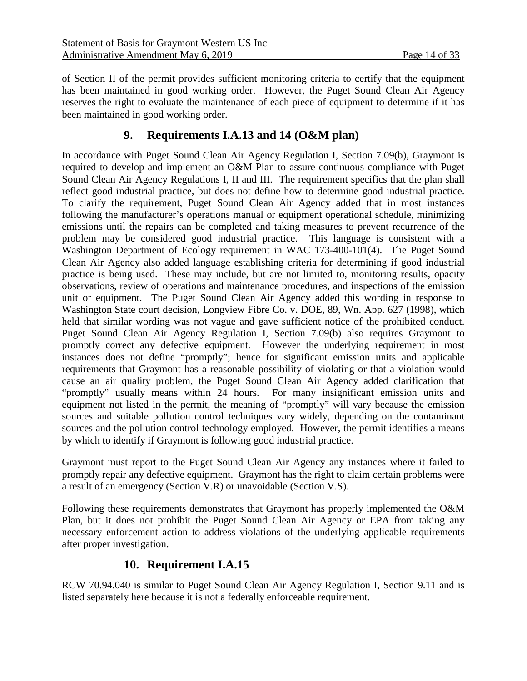of Section II of the permit provides sufficient monitoring criteria to certify that the equipment has been maintained in good working order. However, the Puget Sound Clean Air Agency reserves the right to evaluate the maintenance of each piece of equipment to determine if it has been maintained in good working order.

### **9. Requirements I.A.13 and 14 (O&M plan)**

In accordance with Puget Sound Clean Air Agency Regulation I, Section 7.09(b), Graymont is required to develop and implement an O&M Plan to assure continuous compliance with Puget Sound Clean Air Agency Regulations I, II and III. The requirement specifics that the plan shall reflect good industrial practice, but does not define how to determine good industrial practice. To clarify the requirement, Puget Sound Clean Air Agency added that in most instances following the manufacturer's operations manual or equipment operational schedule, minimizing emissions until the repairs can be completed and taking measures to prevent recurrence of the problem may be considered good industrial practice. This language is consistent with a Washington Department of Ecology requirement in WAC 173-400-101(4). The Puget Sound Clean Air Agency also added language establishing criteria for determining if good industrial practice is being used. These may include, but are not limited to, monitoring results, opacity observations, review of operations and maintenance procedures, and inspections of the emission unit or equipment. The Puget Sound Clean Air Agency added this wording in response to Washington State court decision, Longview Fibre Co. v. DOE, 89, Wn. App. 627 (1998), which held that similar wording was not vague and gave sufficient notice of the prohibited conduct. Puget Sound Clean Air Agency Regulation I, Section 7.09(b) also requires Graymont to promptly correct any defective equipment. However the underlying requirement in most instances does not define "promptly"; hence for significant emission units and applicable requirements that Graymont has a reasonable possibility of violating or that a violation would cause an air quality problem, the Puget Sound Clean Air Agency added clarification that "promptly" usually means within 24 hours. For many insignificant emission units and equipment not listed in the permit, the meaning of "promptly" will vary because the emission sources and suitable pollution control techniques vary widely, depending on the contaminant sources and the pollution control technology employed. However, the permit identifies a means by which to identify if Graymont is following good industrial practice.

Graymont must report to the Puget Sound Clean Air Agency any instances where it failed to promptly repair any defective equipment. Graymont has the right to claim certain problems were a result of an emergency (Section V.R) or unavoidable (Section V.S).

Following these requirements demonstrates that Graymont has properly implemented the O&M Plan, but it does not prohibit the Puget Sound Clean Air Agency or EPA from taking any necessary enforcement action to address violations of the underlying applicable requirements after proper investigation.

### **10. Requirement I.A.15**

RCW 70.94.040 is similar to Puget Sound Clean Air Agency Regulation I, Section 9.11 and is listed separately here because it is not a federally enforceable requirement.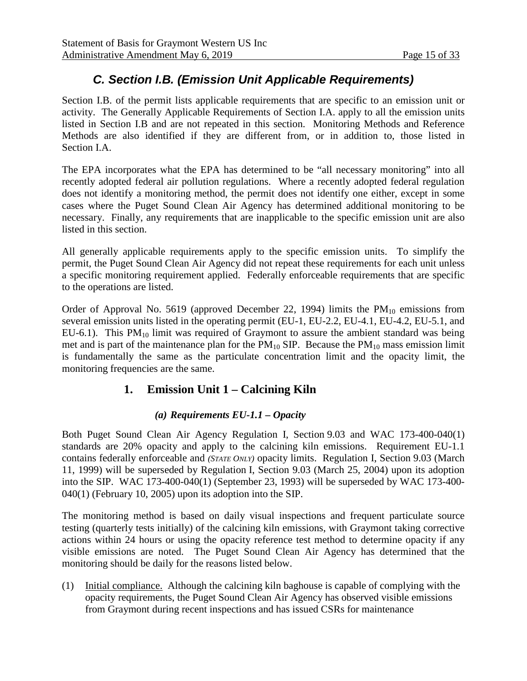# *C. Section I.B. (Emission Unit Applicable Requirements)*

Section I.B. of the permit lists applicable requirements that are specific to an emission unit or activity. The Generally Applicable Requirements of Section I.A. apply to all the emission units listed in Section I.B and are not repeated in this section. Monitoring Methods and Reference Methods are also identified if they are different from, or in addition to, those listed in Section I.A.

The EPA incorporates what the EPA has determined to be "all necessary monitoring" into all recently adopted federal air pollution regulations. Where a recently adopted federal regulation does not identify a monitoring method, the permit does not identify one either, except in some cases where the Puget Sound Clean Air Agency has determined additional monitoring to be necessary. Finally, any requirements that are inapplicable to the specific emission unit are also listed in this section.

All generally applicable requirements apply to the specific emission units. To simplify the permit, the Puget Sound Clean Air Agency did not repeat these requirements for each unit unless a specific monitoring requirement applied. Federally enforceable requirements that are specific to the operations are listed.

Order of Approval No. 5619 (approved December 22, 1994) limits the  $PM_{10}$  emissions from several emission units listed in the operating permit (EU-1, EU-2.2, EU-4.1, EU-4.2, EU-5.1, and EU-6.1). This  $PM_{10}$  limit was required of Graymont to assure the ambient standard was being met and is part of the maintenance plan for the  $PM_{10}$  SIP. Because the  $PM_{10}$  mass emission limit is fundamentally the same as the particulate concentration limit and the opacity limit, the monitoring frequencies are the same.

## **1. Emission Unit 1 – Calcining Kiln**

#### *(a) Requirements EU-1.1 – Opacity*

Both Puget Sound Clean Air Agency Regulation I, Section 9.03 and WAC 173-400-040(1) standards are 20% opacity and apply to the calcining kiln emissions. Requirement EU-1.1 contains federally enforceable and *(STATE ONLY)* opacity limits. Regulation I, Section 9.03 (March 11, 1999) will be superseded by Regulation I, Section 9.03 (March 25, 2004) upon its adoption into the SIP. WAC 173-400-040(1) (September 23, 1993) will be superseded by WAC 173-400- 040(1) (February 10, 2005) upon its adoption into the SIP.

The monitoring method is based on daily visual inspections and frequent particulate source testing (quarterly tests initially) of the calcining kiln emissions, with Graymont taking corrective actions within 24 hours or using the opacity reference test method to determine opacity if any visible emissions are noted. The Puget Sound Clean Air Agency has determined that the monitoring should be daily for the reasons listed below.

(1) Initial compliance. Although the calcining kiln baghouse is capable of complying with the opacity requirements, the Puget Sound Clean Air Agency has observed visible emissions from Graymont during recent inspections and has issued CSRs for maintenance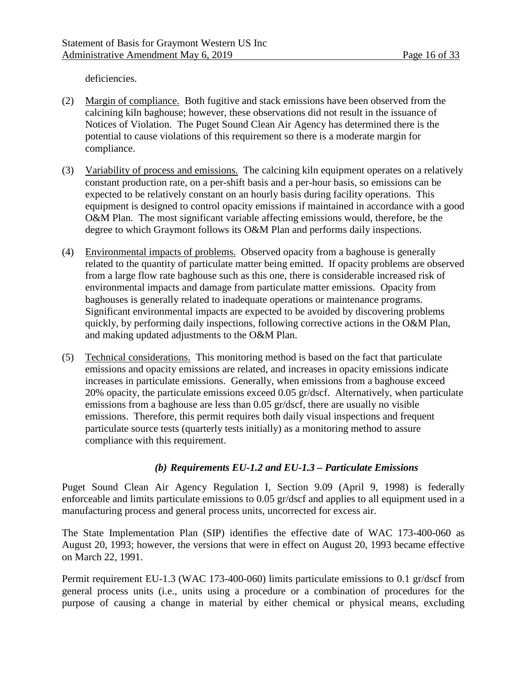deficiencies.

- (2) Margin of compliance. Both fugitive and stack emissions have been observed from the calcining kiln baghouse; however, these observations did not result in the issuance of Notices of Violation. The Puget Sound Clean Air Agency has determined there is the potential to cause violations of this requirement so there is a moderate margin for compliance.
- (3) Variability of process and emissions. The calcining kiln equipment operates on a relatively constant production rate, on a per-shift basis and a per-hour basis, so emissions can be expected to be relatively constant on an hourly basis during facility operations. This equipment is designed to control opacity emissions if maintained in accordance with a good O&M Plan. The most significant variable affecting emissions would, therefore, be the degree to which Graymont follows its O&M Plan and performs daily inspections.
- (4) Environmental impacts of problems. Observed opacity from a baghouse is generally related to the quantity of particulate matter being emitted. If opacity problems are observed from a large flow rate baghouse such as this one, there is considerable increased risk of environmental impacts and damage from particulate matter emissions. Opacity from baghouses is generally related to inadequate operations or maintenance programs. Significant environmental impacts are expected to be avoided by discovering problems quickly, by performing daily inspections, following corrective actions in the O&M Plan, and making updated adjustments to the O&M Plan.
- (5) Technical considerations. This monitoring method is based on the fact that particulate emissions and opacity emissions are related, and increases in opacity emissions indicate increases in particulate emissions. Generally, when emissions from a baghouse exceed 20% opacity, the particulate emissions exceed 0.05 gr/dscf. Alternatively, when particulate emissions from a baghouse are less than 0.05 gr/dscf, there are usually no visible emissions. Therefore, this permit requires both daily visual inspections and frequent particulate source tests (quarterly tests initially) as a monitoring method to assure compliance with this requirement.

#### *(b) Requirements EU-1.2 and EU-1.3 – Particulate Emissions*

Puget Sound Clean Air Agency Regulation I, Section 9.09 (April 9, 1998) is federally enforceable and limits particulate emissions to 0.05 gr/dscf and applies to all equipment used in a manufacturing process and general process units, uncorrected for excess air.

The State Implementation Plan (SIP) identifies the effective date of WAC 173-400-060 as August 20, 1993; however, the versions that were in effect on August 20, 1993 became effective on March 22, 1991.

Permit requirement EU-1.3 (WAC 173-400-060) limits particulate emissions to 0.1 gr/dscf from general process units (i.e., units using a procedure or a combination of procedures for the purpose of causing a change in material by either chemical or physical means, excluding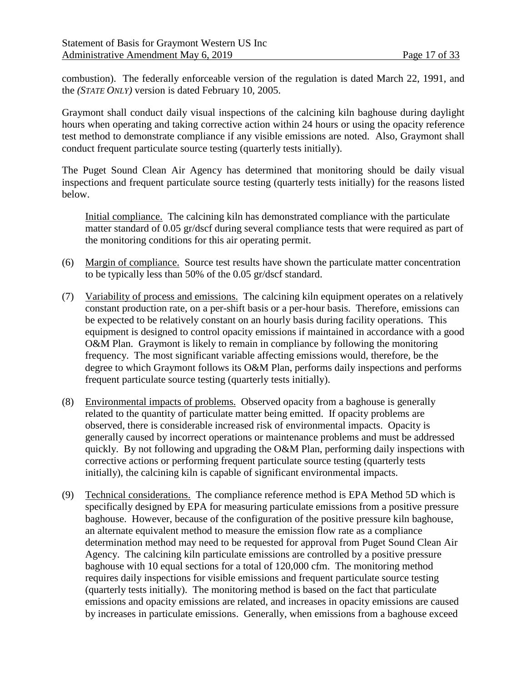combustion). The federally enforceable version of the regulation is dated March 22, 1991, and the *(STATE ONLY)* version is dated February 10, 2005.

Graymont shall conduct daily visual inspections of the calcining kiln baghouse during daylight hours when operating and taking corrective action within 24 hours or using the opacity reference test method to demonstrate compliance if any visible emissions are noted. Also, Graymont shall conduct frequent particulate source testing (quarterly tests initially).

The Puget Sound Clean Air Agency has determined that monitoring should be daily visual inspections and frequent particulate source testing (quarterly tests initially) for the reasons listed below.

Initial compliance. The calcining kiln has demonstrated compliance with the particulate matter standard of 0.05 gr/dscf during several compliance tests that were required as part of the monitoring conditions for this air operating permit.

- (6) Margin of compliance. Source test results have shown the particulate matter concentration to be typically less than 50% of the 0.05 gr/dscf standard.
- (7) Variability of process and emissions. The calcining kiln equipment operates on a relatively constant production rate, on a per-shift basis or a per-hour basis. Therefore, emissions can be expected to be relatively constant on an hourly basis during facility operations. This equipment is designed to control opacity emissions if maintained in accordance with a good O&M Plan. Graymont is likely to remain in compliance by following the monitoring frequency. The most significant variable affecting emissions would, therefore, be the degree to which Graymont follows its O&M Plan, performs daily inspections and performs frequent particulate source testing (quarterly tests initially).
- (8) Environmental impacts of problems. Observed opacity from a baghouse is generally related to the quantity of particulate matter being emitted. If opacity problems are observed, there is considerable increased risk of environmental impacts. Opacity is generally caused by incorrect operations or maintenance problems and must be addressed quickly. By not following and upgrading the O&M Plan, performing daily inspections with corrective actions or performing frequent particulate source testing (quarterly tests initially), the calcining kiln is capable of significant environmental impacts.
- (9) Technical considerations. The compliance reference method is EPA Method 5D which is specifically designed by EPA for measuring particulate emissions from a positive pressure baghouse. However, because of the configuration of the positive pressure kiln baghouse, an alternate equivalent method to measure the emission flow rate as a compliance determination method may need to be requested for approval from Puget Sound Clean Air Agency. The calcining kiln particulate emissions are controlled by a positive pressure baghouse with 10 equal sections for a total of 120,000 cfm. The monitoring method requires daily inspections for visible emissions and frequent particulate source testing (quarterly tests initially). The monitoring method is based on the fact that particulate emissions and opacity emissions are related, and increases in opacity emissions are caused by increases in particulate emissions. Generally, when emissions from a baghouse exceed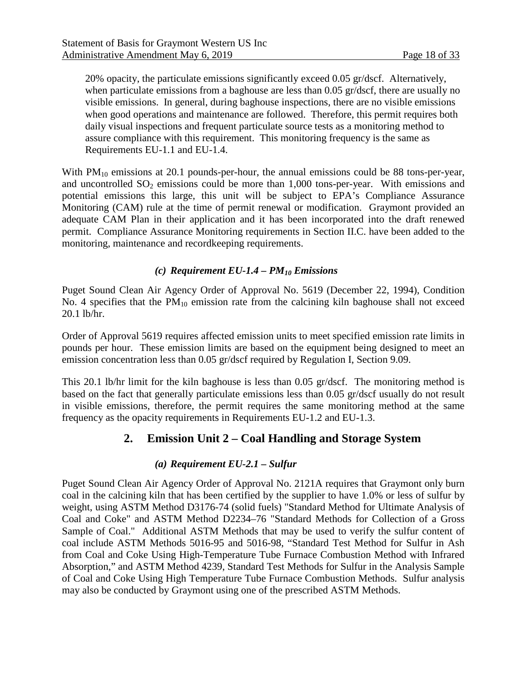20% opacity, the particulate emissions significantly exceed 0.05 gr/dscf. Alternatively, when particulate emissions from a baghouse are less than 0.05 gr/dscf, there are usually no visible emissions. In general, during baghouse inspections, there are no visible emissions when good operations and maintenance are followed. Therefore, this permit requires both daily visual inspections and frequent particulate source tests as a monitoring method to assure compliance with this requirement. This monitoring frequency is the same as Requirements EU-1.1 and EU-1.4.

With  $PM_{10}$  emissions at 20.1 pounds-per-hour, the annual emissions could be 88 tons-per-year, and uncontrolled  $SO_2$  emissions could be more than 1,000 tons-per-year. With emissions and potential emissions this large, this unit will be subject to EPA's Compliance Assurance Monitoring (CAM) rule at the time of permit renewal or modification. Graymont provided an adequate CAM Plan in their application and it has been incorporated into the draft renewed permit. Compliance Assurance Monitoring requirements in Section II.C. have been added to the monitoring, maintenance and recordkeeping requirements.

#### *(c) Requirement EU-1.4 – PM10 Emissions*

Puget Sound Clean Air Agency Order of Approval No. 5619 (December 22, 1994), Condition No. 4 specifies that the  $PM_{10}$  emission rate from the calcining kiln baghouse shall not exceed 20.1 lb/hr.

Order of Approval 5619 requires affected emission units to meet specified emission rate limits in pounds per hour. These emission limits are based on the equipment being designed to meet an emission concentration less than 0.05 gr/dscf required by Regulation I, Section 9.09.

This 20.1 lb/hr limit for the kiln baghouse is less than 0.05 gr/dscf. The monitoring method is based on the fact that generally particulate emissions less than 0.05 gr/dscf usually do not result in visible emissions, therefore, the permit requires the same monitoring method at the same frequency as the opacity requirements in Requirements EU-1.2 and EU-1.3.

#### **2. Emission Unit 2 – Coal Handling and Storage System**

#### *(a) Requirement EU-2.1 – Sulfur*

<span id="page-17-0"></span>Puget Sound Clean Air Agency Order of Approval No. 2121A requires that Graymont only burn coal in the calcining kiln that has been certified by the supplier to have 1.0% or less of sulfur by weight, using ASTM Method D3176-74 (solid fuels) "Standard Method for Ultimate Analysis of Coal and Coke" and ASTM Method D2234–76 "Standard Methods for Collection of a Gross Sample of Coal." Additional ASTM Methods that may be used to verify the sulfur content of coal include ASTM Methods 5016-95 and 5016-98, "Standard Test Method for Sulfur in Ash from Coal and Coke Using High-Temperature Tube Furnace Combustion Method with Infrared Absorption," and ASTM Method 4239, Standard Test Methods for Sulfur in the Analysis Sample of Coal and Coke Using High Temperature Tube Furnace Combustion Methods. Sulfur analysis may also be conducted by Graymont using one of the prescribed ASTM Methods.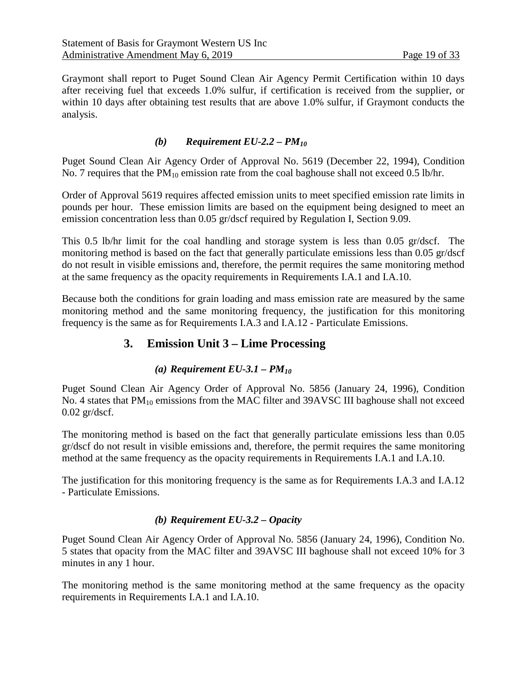Graymont shall report to Puget Sound Clean Air Agency Permit Certification within 10 days after receiving fuel that exceeds 1.0% sulfur, if certification is received from the supplier, or within 10 days after obtaining test results that are above 1.0% sulfur, if Graymont conducts the analysis.

#### *(b) Requirement EU-2.2 – PM10*

Puget Sound Clean Air Agency Order of Approval No. 5619 (December 22, 1994), Condition No. 7 requires that the  $PM_{10}$  emission rate from the coal baghouse shall not exceed 0.5 lb/hr.

Order of Approval 5619 requires affected emission units to meet specified emission rate limits in pounds per hour. These emission limits are based on the equipment being designed to meet an emission concentration less than 0.05 gr/dscf required by Regulation I, Section 9.09.

This 0.5 lb/hr limit for the coal handling and storage system is less than 0.05 gr/dscf. The monitoring method is based on the fact that generally particulate emissions less than 0.05 gr/dscf do not result in visible emissions and, therefore, the permit requires the same monitoring method at the same frequency as the opacity requirements in Requirements I.A.1 and I.A.10.

Because both the conditions for grain loading and mass emission rate are measured by the same monitoring method and the same monitoring frequency, the justification for this monitoring frequency is the same as for Requirements I.A.3 and I.A.12 - Particulate Emissions.

#### **3. Emission Unit 3 – Lime Processing**

#### *(a) Requirement EU-3.1 – PM10*

Puget Sound Clean Air Agency Order of Approval No. 5856 (January 24, 1996), Condition No. 4 states that  $PM_{10}$  emissions from the MAC filter and 39AVSC III baghouse shall not exceed 0.02 gr/dscf.

The monitoring method is based on the fact that generally particulate emissions less than 0.05 gr/dscf do not result in visible emissions and, therefore, the permit requires the same monitoring method at the same frequency as the opacity requirements in Requirements I.A.1 and I.A.10.

The justification for this monitoring frequency is the same as for Requirements I.A.3 and I.A.12 - Particulate Emissions.

#### *(b) Requirement EU-3.2 – Opacity*

Puget Sound Clean Air Agency Order of Approval No. 5856 (January 24, 1996), Condition No. 5 states that opacity from the MAC filter and 39AVSC III baghouse shall not exceed 10% for 3 minutes in any 1 hour.

The monitoring method is the same monitoring method at the same frequency as the opacity requirements in Requirements I.A.1 and I.A.10.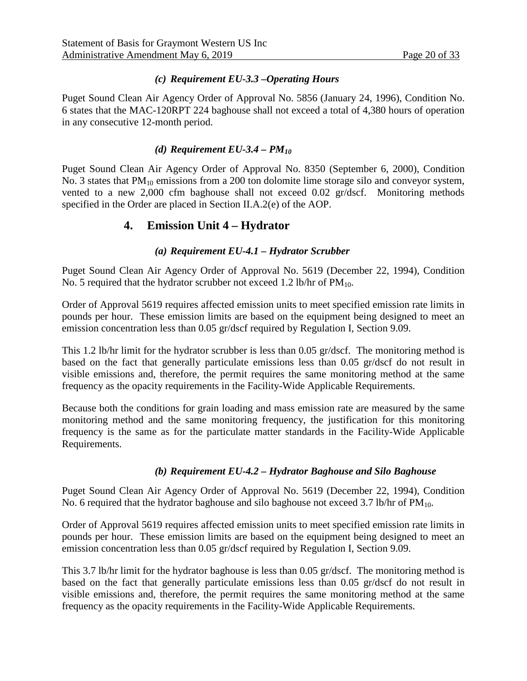#### *(c) Requirement EU-3.3 –Operating Hours*

Puget Sound Clean Air Agency Order of Approval No. 5856 (January 24, 1996), Condition No. 6 states that the MAC-120RPT 224 baghouse shall not exceed a total of 4,380 hours of operation in any consecutive 12-month period.

#### *(d) Requirement EU-3.4 – PM10*

Puget Sound Clean Air Agency Order of Approval No. 8350 (September 6, 2000), Condition No. 3 states that  $PM_{10}$  emissions from a 200 ton dolomite lime storage silo and conveyor system, vented to a new 2,000 cfm baghouse shall not exceed 0.02 gr/dscf. Monitoring methods specified in the Order are placed in Section II.A.2(e) of the AOP.

#### **4. Emission Unit 4 – Hydrator**

#### *(a) Requirement EU-4.1 – Hydrator Scrubber*

Puget Sound Clean Air Agency Order of Approval No. 5619 (December 22, 1994), Condition No. 5 required that the hydrator scrubber not exceed 1.2 lb/hr of  $PM_{10}$ .

Order of Approval 5619 requires affected emission units to meet specified emission rate limits in pounds per hour. These emission limits are based on the equipment being designed to meet an emission concentration less than 0.05 gr/dscf required by Regulation I, Section 9.09.

This 1.2 lb/hr limit for the hydrator scrubber is less than 0.05 gr/dscf. The monitoring method is based on the fact that generally particulate emissions less than 0.05 gr/dscf do not result in visible emissions and, therefore, the permit requires the same monitoring method at the same frequency as the opacity requirements in the Facility-Wide Applicable Requirements.

Because both the conditions for grain loading and mass emission rate are measured by the same monitoring method and the same monitoring frequency, the justification for this monitoring frequency is the same as for the particulate matter standards in the Facility-Wide Applicable Requirements.

#### *(b) Requirement EU-4.2 – Hydrator Baghouse and Silo Baghouse*

Puget Sound Clean Air Agency Order of Approval No. 5619 (December 22, 1994), Condition No. 6 required that the hydrator baghouse and silo baghouse not exceed 3.7 lb/hr of  $PM_{10}$ .

Order of Approval 5619 requires affected emission units to meet specified emission rate limits in pounds per hour. These emission limits are based on the equipment being designed to meet an emission concentration less than 0.05 gr/dscf required by Regulation I, Section 9.09.

This 3.7 lb/hr limit for the hydrator baghouse is less than 0.05 gr/dscf. The monitoring method is based on the fact that generally particulate emissions less than 0.05 gr/dscf do not result in visible emissions and, therefore, the permit requires the same monitoring method at the same frequency as the opacity requirements in the Facility-Wide Applicable Requirements.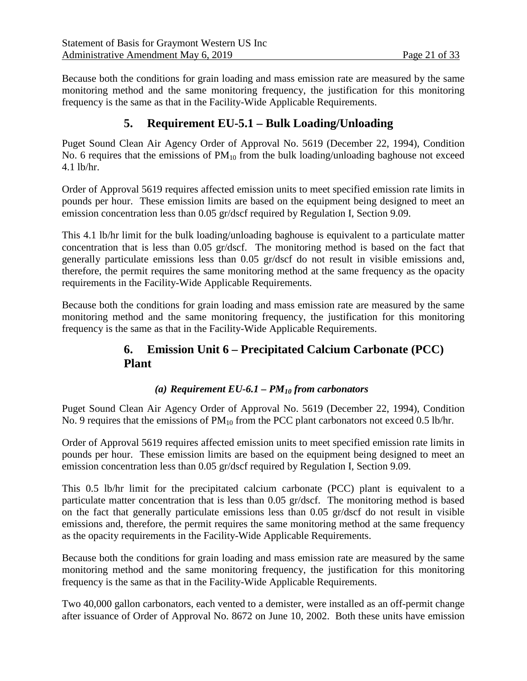Because both the conditions for grain loading and mass emission rate are measured by the same monitoring method and the same monitoring frequency, the justification for this monitoring frequency is the same as that in the Facility-Wide Applicable Requirements.

### **5. Requirement EU-5.1 – Bulk Loading/Unloading**

Puget Sound Clean Air Agency Order of Approval No. 5619 (December 22, 1994), Condition No. 6 requires that the emissions of  $PM_{10}$  from the bulk loading/unloading baghouse not exceed 4.1 lb/hr.

Order of Approval 5619 requires affected emission units to meet specified emission rate limits in pounds per hour. These emission limits are based on the equipment being designed to meet an emission concentration less than 0.05 gr/dscf required by Regulation I, Section 9.09.

This 4.1 lb/hr limit for the bulk loading/unloading baghouse is equivalent to a particulate matter concentration that is less than 0.05 gr/dscf. The monitoring method is based on the fact that generally particulate emissions less than 0.05 gr/dscf do not result in visible emissions and, therefore, the permit requires the same monitoring method at the same frequency as the opacity requirements in the Facility-Wide Applicable Requirements.

Because both the conditions for grain loading and mass emission rate are measured by the same monitoring method and the same monitoring frequency, the justification for this monitoring frequency is the same as that in the Facility-Wide Applicable Requirements.

### **6. Emission Unit 6 – Precipitated Calcium Carbonate (PCC) Plant**

#### *(a) Requirement EU-6.1 – PM10 from carbonators*

Puget Sound Clean Air Agency Order of Approval No. 5619 (December 22, 1994), Condition No. 9 requires that the emissions of  $PM_{10}$  from the PCC plant carbonators not exceed 0.5 lb/hr.

Order of Approval 5619 requires affected emission units to meet specified emission rate limits in pounds per hour. These emission limits are based on the equipment being designed to meet an emission concentration less than 0.05 gr/dscf required by Regulation I, Section 9.09.

This 0.5 lb/hr limit for the precipitated calcium carbonate (PCC) plant is equivalent to a particulate matter concentration that is less than 0.05 gr/dscf. The monitoring method is based on the fact that generally particulate emissions less than 0.05 gr/dscf do not result in visible emissions and, therefore, the permit requires the same monitoring method at the same frequency as the opacity requirements in the Facility-Wide Applicable Requirements.

Because both the conditions for grain loading and mass emission rate are measured by the same monitoring method and the same monitoring frequency, the justification for this monitoring frequency is the same as that in the Facility-Wide Applicable Requirements.

Two 40,000 gallon carbonators, each vented to a demister, were installed as an off-permit change after issuance of Order of Approval No. 8672 on June 10, 2002. Both these units have emission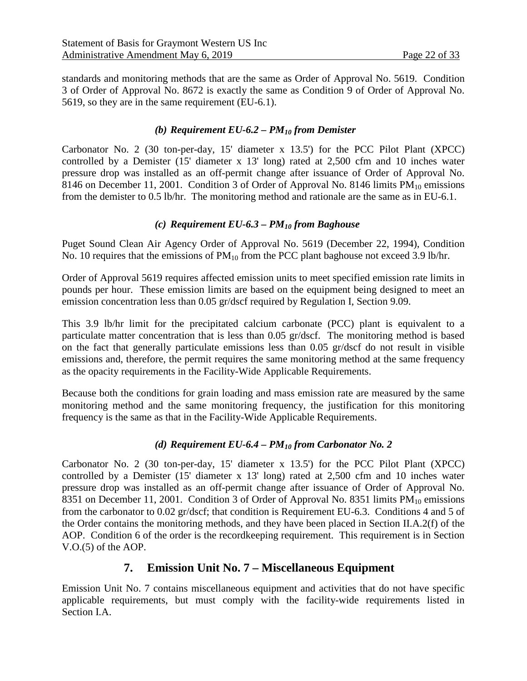standards and monitoring methods that are the same as Order of Approval No. 5619. Condition 3 of Order of Approval No. 8672 is exactly the same as Condition 9 of Order of Approval No. 5619, so they are in the same requirement (EU-6.1).

#### *(b) Requirement EU-6.2 – PM10 from Demister*

Carbonator No. 2 (30 ton-per-day, 15' diameter x 13.5') for the PCC Pilot Plant (XPCC) controlled by a Demister (15' diameter x 13' long) rated at 2,500 cfm and 10 inches water pressure drop was installed as an off-permit change after issuance of Order of Approval No. 8146 on December 11, 2001. Condition 3 of Order of Approval No. 8146 limits  $PM_{10}$  emissions from the demister to 0.5 lb/hr. The monitoring method and rationale are the same as in EU-6.1.

#### *(c) Requirement EU-6.3 – PM10 from Baghouse*

Puget Sound Clean Air Agency Order of Approval No. 5619 (December 22, 1994), Condition No. 10 requires that the emissions of  $PM_{10}$  from the PCC plant baghouse not exceed 3.9 lb/hr.

Order of Approval 5619 requires affected emission units to meet specified emission rate limits in pounds per hour. These emission limits are based on the equipment being designed to meet an emission concentration less than 0.05 gr/dscf required by Regulation I, Section 9.09.

This 3.9 lb/hr limit for the precipitated calcium carbonate (PCC) plant is equivalent to a particulate matter concentration that is less than 0.05 gr/dscf. The monitoring method is based on the fact that generally particulate emissions less than 0.05 gr/dscf do not result in visible emissions and, therefore, the permit requires the same monitoring method at the same frequency as the opacity requirements in the Facility-Wide Applicable Requirements.

Because both the conditions for grain loading and mass emission rate are measured by the same monitoring method and the same monitoring frequency, the justification for this monitoring frequency is the same as that in the Facility-Wide Applicable Requirements.

#### *(d) Requirement EU-6.4 – PM10 from Carbonator No. 2*

Carbonator No. 2 (30 ton-per-day, 15' diameter x 13.5') for the PCC Pilot Plant (XPCC) controlled by a Demister (15' diameter x 13' long) rated at 2,500 cfm and 10 inches water pressure drop was installed as an off-permit change after issuance of Order of Approval No. 8351 on December 11, 2001. Condition 3 of Order of Approval No. 8351 limits  $PM_{10}$  emissions from the carbonator to 0.02 gr/dscf; that condition is Requirement EU-6.3. Conditions 4 and 5 of the Order contains the monitoring methods, and they have been placed in Section II.A.2(f) of the AOP. Condition 6 of the order is the recordkeeping requirement. This requirement is in Section V.O.(5) of the AOP.

#### **7. Emission Unit No. 7 – Miscellaneous Equipment**

Emission Unit No. 7 contains miscellaneous equipment and activities that do not have specific applicable requirements, but must comply with the facility-wide requirements listed in Section I.A.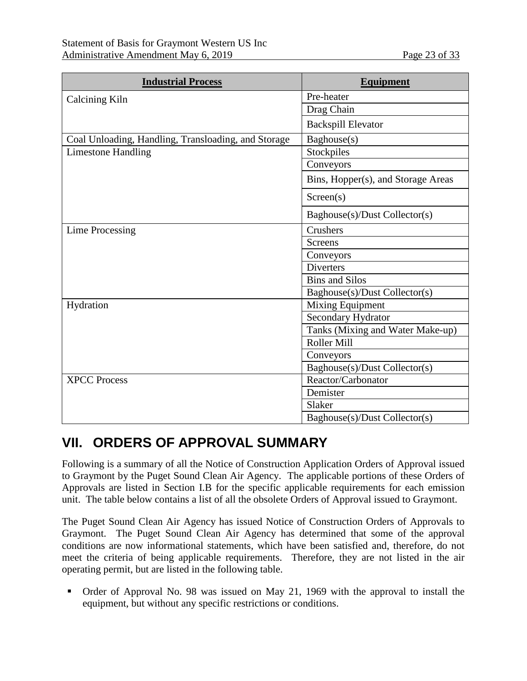| <b>Industrial Process</b>                           | <b>Equipment</b>                   |  |
|-----------------------------------------------------|------------------------------------|--|
| Calcining Kiln                                      | Pre-heater                         |  |
|                                                     | Drag Chain                         |  |
|                                                     | <b>Backspill Elevator</b>          |  |
| Coal Unloading, Handling, Transloading, and Storage | Baghouse(s)                        |  |
| <b>Limestone Handling</b>                           | Stockpiles                         |  |
|                                                     | Conveyors                          |  |
|                                                     | Bins, Hopper(s), and Storage Areas |  |
|                                                     | Screen(s)                          |  |
|                                                     | Baghouse(s)/Dust Collector(s)      |  |
| <b>Lime Processing</b>                              | Crushers                           |  |
|                                                     | <b>Screens</b>                     |  |
|                                                     | Conveyors                          |  |
|                                                     | <b>Diverters</b>                   |  |
|                                                     | <b>Bins and Silos</b>              |  |
|                                                     | Baghouse(s)/Dust Collector(s)      |  |
| Hydration                                           | <b>Mixing Equipment</b>            |  |
|                                                     | Secondary Hydrator                 |  |
|                                                     | Tanks (Mixing and Water Make-up)   |  |
|                                                     | Roller Mill                        |  |
|                                                     | Conveyors                          |  |
|                                                     | Baghouse(s)/Dust Collector(s)      |  |
| <b>XPCC Process</b>                                 | Reactor/Carbonator                 |  |
|                                                     | Demister                           |  |
|                                                     | Slaker                             |  |
|                                                     | Baghouse(s)/Dust Collector(s)      |  |

# <span id="page-22-0"></span>**VII. ORDERS OF APPROVAL SUMMARY**

Following is a summary of all the Notice of Construction Application Orders of Approval issued to Graymont by the Puget Sound Clean Air Agency. The applicable portions of these Orders of Approvals are listed in Section I.B for the specific applicable requirements for each emission unit. The table below contains a list of all the obsolete Orders of Approval issued to Graymont.

The Puget Sound Clean Air Agency has issued Notice of Construction Orders of Approvals to Graymont. The Puget Sound Clean Air Agency has determined that some of the approval conditions are now informational statements, which have been satisfied and, therefore, do not meet the criteria of being applicable requirements. Therefore, they are not listed in the air operating permit, but are listed in the following table.

 Order of Approval No. 98 was issued on May 21, 1969 with the approval to install the equipment, but without any specific restrictions or conditions.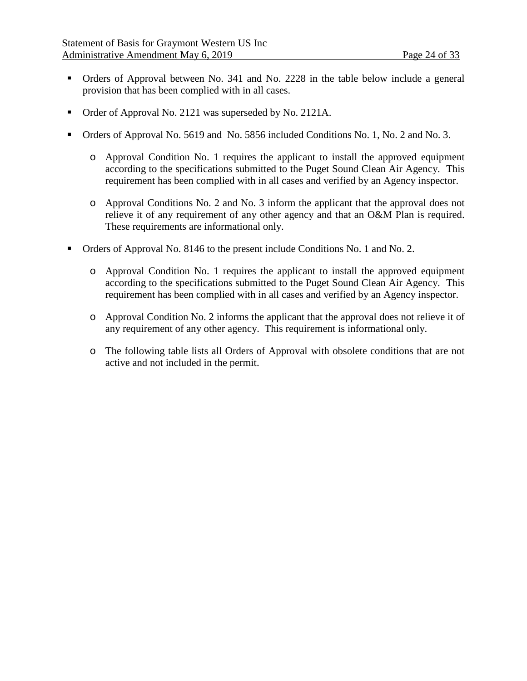- Orders of Approval between No. 341 and No. 2228 in the table below include a general provision that has been complied with in all cases.
- Order of Approval No. 2121 was superseded by No. 2121A.
- Orders of Approval No. 5619 and No. 5856 included Conditions No. 1, No. 2 and No. 3.
	- o Approval Condition No. 1 requires the applicant to install the approved equipment according to the specifications submitted to the Puget Sound Clean Air Agency. This requirement has been complied with in all cases and verified by an Agency inspector.
	- o Approval Conditions No. 2 and No. 3 inform the applicant that the approval does not relieve it of any requirement of any other agency and that an O&M Plan is required. These requirements are informational only.
- Orders of Approval No. 8146 to the present include Conditions No. 1 and No. 2.
	- o Approval Condition No. 1 requires the applicant to install the approved equipment according to the specifications submitted to the Puget Sound Clean Air Agency. This requirement has been complied with in all cases and verified by an Agency inspector.
	- o Approval Condition No. 2 informs the applicant that the approval does not relieve it of any requirement of any other agency. This requirement is informational only.
	- o The following table lists all Orders of Approval with obsolete conditions that are not active and not included in the permit.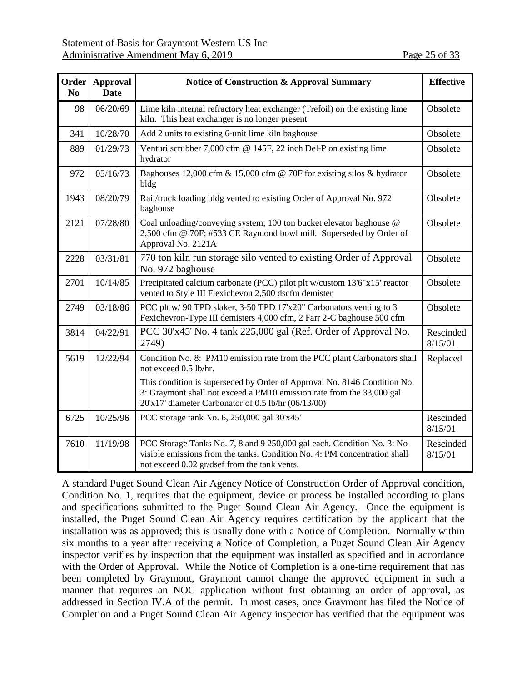| Order<br>N <sub>0</sub> | <b>Approval</b><br><b>Date</b> | <b>Notice of Construction &amp; Approval Summary</b>                                                                                                                                                     | <b>Effective</b>     |
|-------------------------|--------------------------------|----------------------------------------------------------------------------------------------------------------------------------------------------------------------------------------------------------|----------------------|
| 98                      | 06/20/69                       | Lime kiln internal refractory heat exchanger (Trefoil) on the existing lime<br>kiln. This heat exchanger is no longer present                                                                            | Obsolete             |
| 341                     | 10/28/70                       | Add 2 units to existing 6-unit lime kiln baghouse                                                                                                                                                        | Obsolete             |
| 889                     | 01/29/73                       | Venturi scrubber 7,000 cfm @ 145F, 22 inch Del-P on existing lime<br>hydrator                                                                                                                            | Obsolete             |
| 972                     | 05/16/73                       | Baghouses 12,000 cfm & 15,000 cfm @ 70F for existing silos & hydrator<br>bldg                                                                                                                            | Obsolete             |
| 1943                    | 08/20/79                       | Rail/truck loading bldg vented to existing Order of Approval No. 972<br>baghouse                                                                                                                         | Obsolete             |
| 2121                    | 07/28/80                       | Coal unloading/conveying system; 100 ton bucket elevator baghouse @<br>2,500 cfm @ 70F; #533 CE Raymond bowl mill. Superseded by Order of<br>Approval No. 2121A                                          | Obsolete             |
| 2228                    | 03/31/81                       | 770 ton kiln run storage silo vented to existing Order of Approval<br>No. 972 baghouse                                                                                                                   | Obsolete             |
| 2701                    | 10/14/85                       | Precipitated calcium carbonate (PCC) pilot plt w/custom 13'6"x15' reactor<br>vented to Style III Flexichevon 2,500 dscfm demister                                                                        | Obsolete             |
| 2749                    | 03/18/86                       | PCC plt w/ 90 TPD slaker, 3-50 TPD 17'x20" Carbonators venting to 3<br>Fexichevron-Type III demisters 4,000 cfm, 2 Farr 2-C baghouse 500 cfm                                                             | Obsolete             |
| 3814                    | 04/22/91                       | PCC 30'x45' No. 4 tank 225,000 gal (Ref. Order of Approval No.<br>2749)                                                                                                                                  | Rescinded<br>8/15/01 |
| 5619                    | 12/22/94                       | Condition No. 8: PM10 emission rate from the PCC plant Carbonators shall<br>not exceed 0.5 lb/hr.                                                                                                        | Replaced             |
|                         |                                | This condition is superseded by Order of Approval No. 8146 Condition No.<br>3: Graymont shall not exceed a PM10 emission rate from the 33,000 gal<br>20'x17' diameter Carbonator of 0.5 lb/hr (06/13/00) |                      |
| 6725                    | 10/25/96                       | PCC storage tank No. 6, 250,000 gal 30'x45'                                                                                                                                                              | Rescinded<br>8/15/01 |
| 7610                    | 11/19/98                       | PCC Storage Tanks No. 7, 8 and 9 250,000 gal each. Condition No. 3: No<br>visible emissions from the tanks. Condition No. 4: PM concentration shall<br>not exceed 0.02 gr/dsef from the tank vents.      | Rescinded<br>8/15/01 |

A standard Puget Sound Clean Air Agency Notice of Construction Order of Approval condition, Condition No. 1, requires that the equipment, device or process be installed according to plans and specifications submitted to the Puget Sound Clean Air Agency. Once the equipment is installed, the Puget Sound Clean Air Agency requires certification by the applicant that the installation was as approved; this is usually done with a Notice of Completion. Normally within six months to a year after receiving a Notice of Completion, a Puget Sound Clean Air Agency inspector verifies by inspection that the equipment was installed as specified and in accordance with the Order of Approval. While the Notice of Completion is a one-time requirement that has been completed by Graymont, Graymont cannot change the approved equipment in such a manner that requires an NOC application without first obtaining an order of approval, as addressed in Section IV.A of the permit. In most cases, once Graymont has filed the Notice of Completion and a Puget Sound Clean Air Agency inspector has verified that the equipment was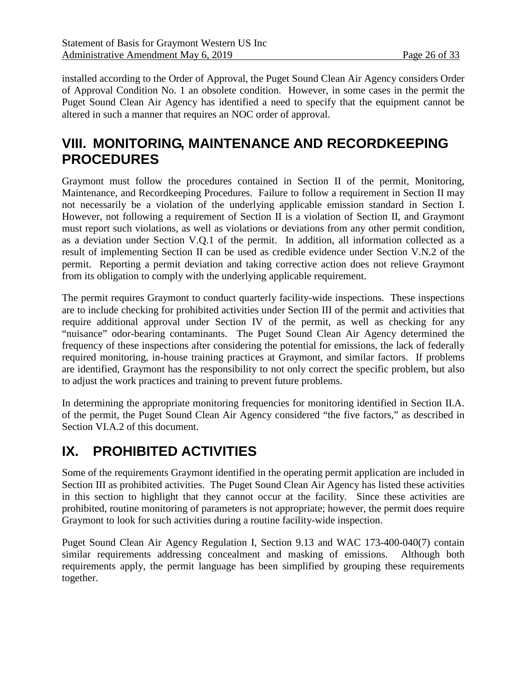installed according to the Order of Approval, the Puget Sound Clean Air Agency considers Order of Approval Condition No. 1 an obsolete condition. However, in some cases in the permit the Puget Sound Clean Air Agency has identified a need to specify that the equipment cannot be altered in such a manner that requires an NOC order of approval.

# **VIII. MONITORING, MAINTENANCE AND RECORDKEEPING PROCEDURES**

Graymont must follow the procedures contained in Section II of the permit, Monitoring, Maintenance, and Recordkeeping Procedures. Failure to follow a requirement in Section II may not necessarily be a violation of the underlying applicable emission standard in Section I. However, not following a requirement of Section II is a violation of Section II, and Graymont must report such violations, as well as violations or deviations from any other permit condition, as a deviation under Section V.Q.1 of the permit. In addition, all information collected as a result of implementing Section II can be used as credible evidence under Section V.N.2 of the permit. Reporting a permit deviation and taking corrective action does not relieve Graymont from its obligation to comply with the underlying applicable requirement.

The permit requires Graymont to conduct quarterly facility-wide inspections. These inspections are to include checking for prohibited activities under Section III of the permit and activities that require additional approval under Section IV of the permit, as well as checking for any "nuisance" odor-bearing contaminants. The Puget Sound Clean Air Agency determined the frequency of these inspections after considering the potential for emissions, the lack of federally required monitoring, in-house training practices at Graymont, and similar factors. If problems are identified, Graymont has the responsibility to not only correct the specific problem, but also to adjust the work practices and training to prevent future problems.

In determining the appropriate monitoring frequencies for monitoring identified in Section II.A. of the permit, the Puget Sound Clean Air Agency considered "the five factors," as described in Section [VI.A.2](#page-7-0) of this document.

# **IX. PROHIBITED ACTIVITIES**

Some of the requirements Graymont identified in the operating permit application are included in Section III as prohibited activities. The Puget Sound Clean Air Agency has listed these activities in this section to highlight that they cannot occur at the facility. Since these activities are prohibited, routine monitoring of parameters is not appropriate; however, the permit does require Graymont to look for such activities during a routine facility-wide inspection.

Puget Sound Clean Air Agency Regulation I, Section 9.13 and WAC 173-400-040(7) contain similar requirements addressing concealment and masking of emissions. Although both requirements apply, the permit language has been simplified by grouping these requirements together.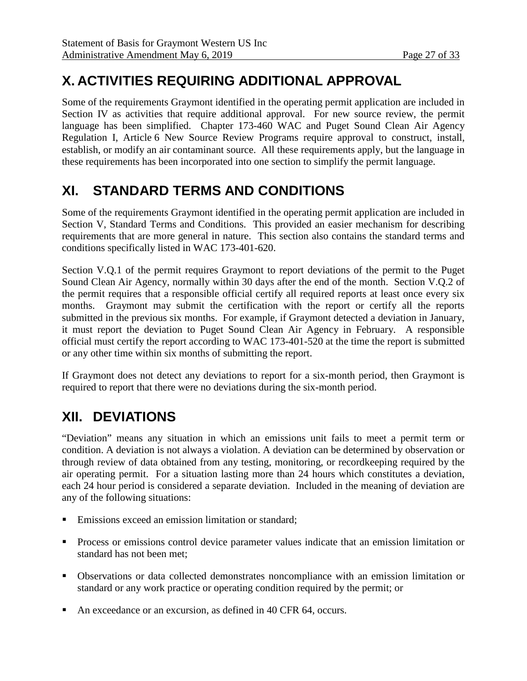# **X. ACTIVITIES REQUIRING ADDITIONAL APPROVAL**

Some of the requirements Graymont identified in the operating permit application are included in Section IV as activities that require additional approval. For new source review, the permit language has been simplified. Chapter 173-460 WAC and Puget Sound Clean Air Agency Regulation I, Article 6 New Source Review Programs require approval to construct, install, establish, or modify an air contaminant source. All these requirements apply, but the language in these requirements has been incorporated into one section to simplify the permit language.

# **XI. STANDARD TERMS AND CONDITIONS**

Some of the requirements Graymont identified in the operating permit application are included in Section V, Standard Terms and Conditions. This provided an easier mechanism for describing requirements that are more general in nature. This section also contains the standard terms and conditions specifically listed in WAC 173-401-620.

Section V.Q.1 of the permit requires Graymont to report deviations of the permit to the Puget Sound Clean Air Agency, normally within 30 days after the end of the month. Section V.Q.2 of the permit requires that a responsible official certify all required reports at least once every six months. Graymont may submit the certification with the report or certify all the reports submitted in the previous six months. For example, if Graymont detected a deviation in January, it must report the deviation to Puget Sound Clean Air Agency in February. A responsible official must certify the report according to WAC 173-401-520 at the time the report is submitted or any other time within six months of submitting the report.

If Graymont does not detect any deviations to report for a six-month period, then Graymont is required to report that there were no deviations during the six-month period.

# **XII. DEVIATIONS**

"Deviation" means any situation in which an emissions unit fails to meet a permit term or condition. A deviation is not always a violation. A deviation can be determined by observation or through review of data obtained from any testing, monitoring, or recordkeeping required by the air operating permit. For a situation lasting more than 24 hours which constitutes a deviation, each 24 hour period is considered a separate deviation. Included in the meaning of deviation are any of the following situations:

- Emissions exceed an emission limitation or standard;
- **Process or emissions control device parameter values indicate that an emission limitation or** standard has not been met;
- Observations or data collected demonstrates noncompliance with an emission limitation or standard or any work practice or operating condition required by the permit; or
- An exceedance or an excursion, as defined in 40 CFR 64, occurs.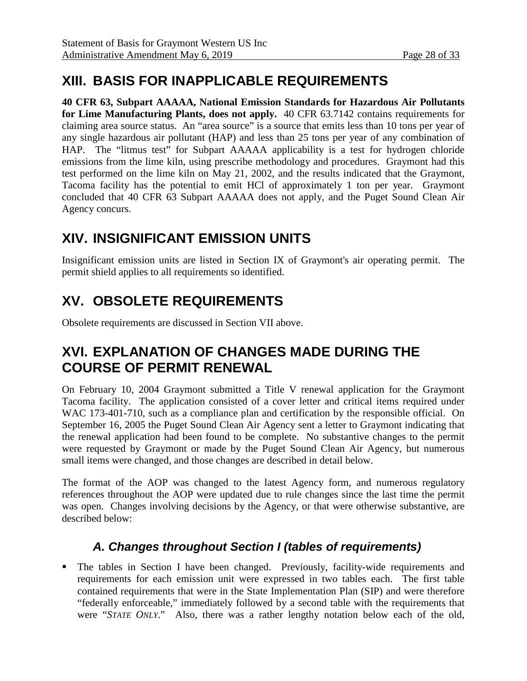# **XIII. BASIS FOR INAPPLICABLE REQUIREMENTS**

**40 CFR 63, Subpart AAAAA, National Emission Standards for Hazardous Air Pollutants for Lime Manufacturing Plants, does not apply.** 40 CFR 63.7142 contains requirements for claiming area source status. An "area source" is a source that emits less than 10 tons per year of any single hazardous air pollutant (HAP) and less than 25 tons per year of any combination of HAP. The "litmus test" for Subpart AAAAA applicability is a test for hydrogen chloride emissions from the lime kiln, using prescribe methodology and procedures. Graymont had this test performed on the lime kiln on May 21, 2002, and the results indicated that the Graymont, Tacoma facility has the potential to emit HCl of approximately 1 ton per year. Graymont concluded that 40 CFR 63 Subpart AAAAA does not apply, and the Puget Sound Clean Air Agency concurs.

# **XIV. INSIGNIFICANT EMISSION UNITS**

Insignificant emission units are listed in Section IX of Graymont's air operating permit. The permit shield applies to all requirements so identified.

# **XV. OBSOLETE REQUIREMENTS**

Obsolete requirements are discussed in Section [VII above.](#page-22-0)

# <span id="page-27-0"></span>**XVI. EXPLANATION OF CHANGES MADE DURING THE COURSE OF PERMIT RENEWAL**

On February 10, 2004 Graymont submitted a Title V renewal application for the Graymont Tacoma facility. The application consisted of a cover letter and critical items required under WAC 173-401-710, such as a compliance plan and certification by the responsible official. On September 16, 2005 the Puget Sound Clean Air Agency sent a letter to Graymont indicating that the renewal application had been found to be complete. No substantive changes to the permit were requested by Graymont or made by the Puget Sound Clean Air Agency, but numerous small items were changed, and those changes are described in detail below.

The format of the AOP was changed to the latest Agency form, and numerous regulatory references throughout the AOP were updated due to rule changes since the last time the permit was open. Changes involving decisions by the Agency, or that were otherwise substantive, are described below:

## *A. Changes throughout Section I (tables of requirements)*

 The tables in Section I have been changed. Previously, facility-wide requirements and requirements for each emission unit were expressed in two tables each. The first table contained requirements that were in the State Implementation Plan (SIP) and were therefore "federally enforceable," immediately followed by a second table with the requirements that were "*STATE ONLY*." Also, there was a rather lengthy notation below each of the old,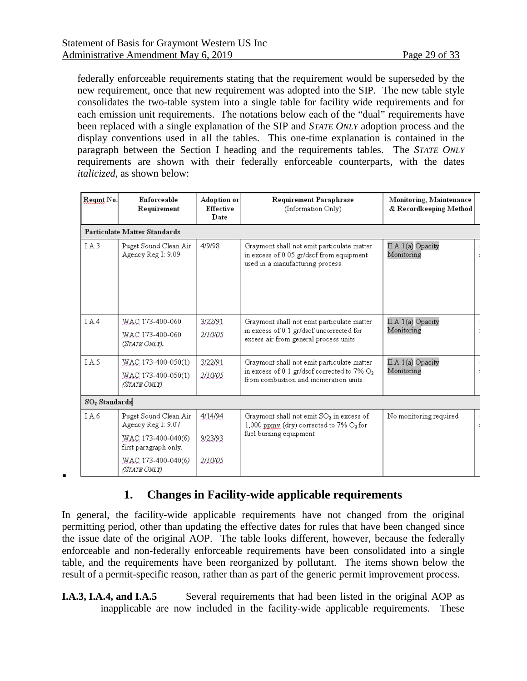.

federally enforceable requirements stating that the requirement would be superseded by the new requirement, once that new requirement was adopted into the SIP. The new table style consolidates the two-table system into a single table for facility wide requirements and for each emission unit requirements. The notations below each of the "dual" requirements have been replaced with a single explanation of the SIP and *STATE ONLY* adoption process and the display conventions used in all the tables. This one-time explanation is contained in the paragraph between the Section I heading and the requirements tables. The *STATE ONLY* requirements are shown with their federally enforceable counterparts, with the dates *italicized*, as shown below:

| Regnt No.                 | Enforceable<br>Requirement                  | Adoption or<br>Effective<br>Date | Requirement Paraphrase<br>(Information Only)                                                                               | Monitoring, Maintenance<br>& Recordkeeping Method |  |
|---------------------------|---------------------------------------------|----------------------------------|----------------------------------------------------------------------------------------------------------------------------|---------------------------------------------------|--|
|                           | Particulate Matter Standards                |                                  |                                                                                                                            |                                                   |  |
| IA.3                      | Puget Sound Clean Air<br>Agency Reg I: 9.09 | 4/9/98                           | Graymont shall not emit particulate matter<br>in excess of 0.05 gr/dscf from equipment<br>used in a manufacturing process. | $\mathbb{H}$ . A. 1(a) Opacity<br>Monitoring      |  |
| LA <sub>4</sub>           | WAC 173-400-060                             | 3/22/91                          | Graymont shall not emit particulate matter                                                                                 | II.A.1(a) Opacity                                 |  |
|                           | WAC 173-400-060<br>(STATE ONLY).            | 2/10/05                          | in excess of 0.1 gr/dscf uncorrected for<br>excess air from general process units                                          | Monitoring                                        |  |
| LA <sub>5</sub>           | WAC 173-400-050(1)                          | 3/22/91                          | Graymont shall not emit particulate matter                                                                                 | II.A.1(a) Opacity                                 |  |
|                           | WAC 173-400-050(1)<br>(STATE ONLY)          | 2/10/05                          | in excess of 0.1 gr/dscf corrected to 7% $O_2$<br>from combustion and incineration units.                                  | Monitoring                                        |  |
| SO <sub>2</sub> Standards |                                             |                                  |                                                                                                                            |                                                   |  |
| LA6                       | Puget Sound Clean Air<br>Agency Reg I: 9.07 | 4/14/94                          | Graymont shall not emit $SO_2$ in excess of<br>1,000 ppmy (dry) corrected to 7% O2 for                                     | No monitoring required                            |  |
|                           | WAC 173-400-040(6)<br>first paragraph only. | 9/23/93                          | fuel burning equipment                                                                                                     |                                                   |  |
|                           | WAC 173-400-040(6)<br>(STATE ONLY)          | 2/10/05                          |                                                                                                                            |                                                   |  |

### **1. Changes in Facility-wide applicable requirements**

In general, the facility-wide applicable requirements have not changed from the original permitting period, other than updating the effective dates for rules that have been changed since the issue date of the original AOP. The table looks different, however, because the federally enforceable and non-federally enforceable requirements have been consolidated into a single table, and the requirements have been reorganized by pollutant. The items shown below the result of a permit-specific reason, rather than as part of the generic permit improvement process.

**I.A.3, I.A.4, and I.A.5** Several requirements that had been listed in the original AOP as inapplicable are now included in the facility-wide applicable requirements. These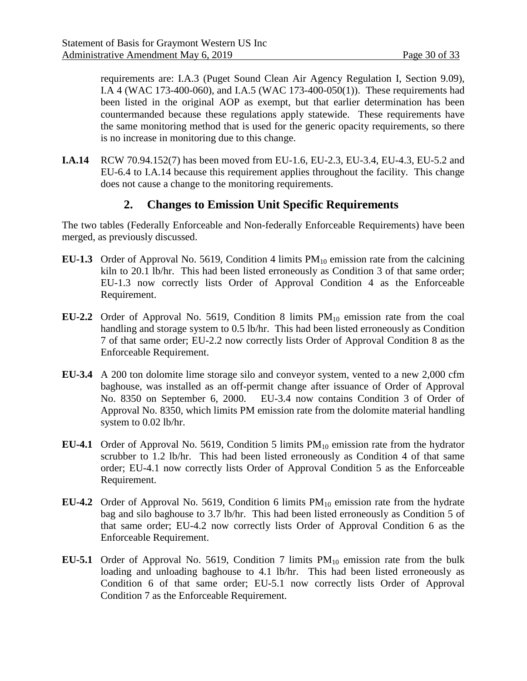requirements are: I.A.3 (Puget Sound Clean Air Agency Regulation I, Section 9.09), I.A 4 (WAC 173-400-060), and I.A.5 (WAC 173-400-050(1)). These requirements had been listed in the original AOP as exempt, but that earlier determination has been countermanded because these regulations apply statewide. These requirements have the same monitoring method that is used for the generic opacity requirements, so there is no increase in monitoring due to this change.

**I.A.14** RCW 70.94.152(7) has been moved from EU-1.6, EU-2.3, EU-3.4, EU-4.3, EU-5.2 and EU-6.4 to I.A.14 because this requirement applies throughout the facility. This change does not cause a change to the monitoring requirements.

### **2. Changes to Emission Unit Specific Requirements**

The two tables (Federally Enforceable and Non-federally Enforceable Requirements) have been merged, as previously discussed.

- **EU-1.3** Order of Approval No. 5619, Condition 4 limits  $PM_{10}$  emission rate from the calcining kiln to 20.1 lb/hr. This had been listed erroneously as Condition 3 of that same order; EU-1.3 now correctly lists Order of Approval Condition 4 as the Enforceable Requirement.
- **EU-2.2** Order of Approval No. 5619, Condition 8 limits  $PM_{10}$  emission rate from the coal handling and storage system to 0.5 lb/hr. This had been listed erroneously as Condition 7 of that same order; EU-2.2 now correctly lists Order of Approval Condition 8 as the Enforceable Requirement.
- **EU-3.4** A 200 ton dolomite lime storage silo and conveyor system, vented to a new 2,000 cfm baghouse, was installed as an off-permit change after issuance of Order of Approval No. 8350 on September 6, 2000. EU-3.4 now contains Condition 3 of Order of Approval No. 8350, which limits PM emission rate from the dolomite material handling system to 0.02 lb/hr.
- **EU-4.1** Order of Approval No. 5619, Condition 5 limits  $PM_{10}$  emission rate from the hydrator scrubber to 1.2 lb/hr. This had been listed erroneously as Condition 4 of that same order; EU-4.1 now correctly lists Order of Approval Condition 5 as the Enforceable Requirement.
- **EU-4.2** Order of Approval No. 5619, Condition 6 limits PM<sub>10</sub> emission rate from the hydrate bag and silo baghouse to 3.7 lb/hr. This had been listed erroneously as Condition 5 of that same order; EU-4.2 now correctly lists Order of Approval Condition 6 as the Enforceable Requirement.
- **EU-5.1** Order of Approval No. 5619, Condition 7 limits  $PM_{10}$  emission rate from the bulk loading and unloading baghouse to 4.1 lb/hr. This had been listed erroneously as Condition 6 of that same order; EU-5.1 now correctly lists Order of Approval Condition 7 as the Enforceable Requirement.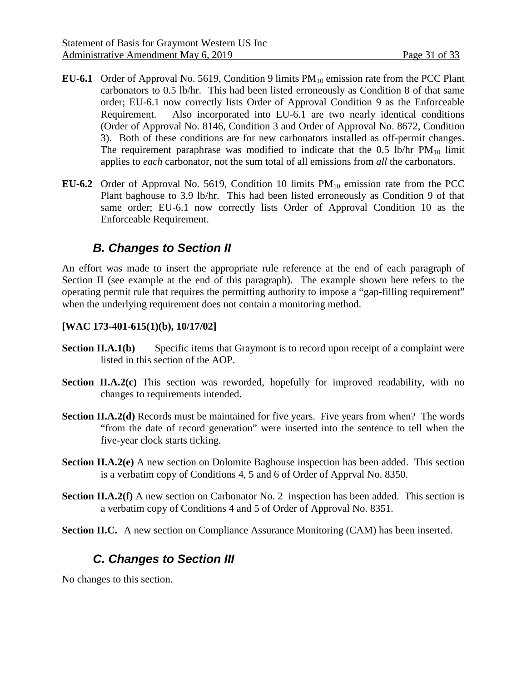- **EU-6.1** Order of Approval No. 5619, Condition 9 limits  $PM_{10}$  emission rate from the PCC Plant carbonators to 0.5 lb/hr. This had been listed erroneously as Condition 8 of that same order; EU-6.1 now correctly lists Order of Approval Condition 9 as the Enforceable Requirement. Also incorporated into EU-6.1 are two nearly identical conditions (Order of Approval No. 8146, Condition 3 and Order of Approval No. 8672, Condition 3). Both of these conditions are for new carbonators installed as off-permit changes. The requirement paraphrase was modified to indicate that the 0.5 lb/hr  $PM_{10}$  limit applies to *each* carbonator, not the sum total of all emissions from *all* the carbonators.
- **EU-6.2** Order of Approval No. 5619, Condition 10 limits  $PM_{10}$  emission rate from the PCC Plant baghouse to 3.9 lb/hr. This had been listed erroneously as Condition 9 of that same order; EU-6.1 now correctly lists Order of Approval Condition 10 as the Enforceable Requirement.

### *B. Changes to Section II*

An effort was made to insert the appropriate rule reference at the end of each paragraph of Section II (see example at the end of this paragraph). The example shown here refers to the operating permit rule that requires the permitting authority to impose a "gap-filling requirement" when the underlying requirement does not contain a monitoring method.

#### **[WAC 173-401-615(1)(b), 10/17/02]**

- **Section II.A.1(b)** Specific items that Graymont is to record upon receipt of a complaint were listed in this section of the AOP.
- **Section II.A.2(c)** This section was reworded, hopefully for improved readability, with no changes to requirements intended.
- **Section II.A.2(d)** Records must be maintained for five years. Five years from when? The words "from the date of record generation" were inserted into the sentence to tell when the five-year clock starts ticking.
- **Section II.A.2(e)** A new section on Dolomite Baghouse inspection has been added. This section is a verbatim copy of Conditions 4, 5 and 6 of Order of Apprval No. 8350.
- **Section II.A.2(f)** A new section on Carbonator No. 2 inspection has been added. This section is a verbatim copy of Conditions 4 and 5 of Order of Approval No. 8351.
- **Section II.C.** A new section on Compliance Assurance Monitoring (CAM) has been inserted.

## *C. Changes to Section III*

No changes to this section.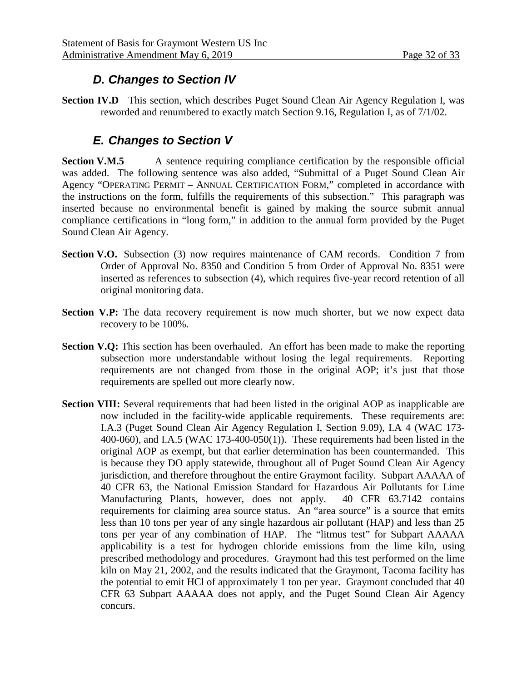## *D. Changes to Section IV*

**Section IV.D** This section, which describes Puget Sound Clean Air Agency Regulation I, was reworded and renumbered to exactly match Section 9.16, Regulation I, as of 7/1/02.

## *E. Changes to Section V*

**Section V.M.5** A sentence requiring compliance certification by the responsible official was added. The following sentence was also added, "Submittal of a Puget Sound Clean Air Agency "OPERATING PERMIT – ANNUAL CERTIFICATION FORM," completed in accordance with the instructions on the form, fulfills the requirements of this subsection." This paragraph was inserted because no environmental benefit is gained by making the source submit annual compliance certifications in "long form," in addition to the annual form provided by the Puget Sound Clean Air Agency.

- **Section V.O.** Subsection (3) now requires maintenance of CAM records. Condition 7 from Order of Approval No. 8350 and Condition 5 from Order of Approval No. 8351 were inserted as references to subsection (4), which requires five-year record retention of all original monitoring data.
- **Section V.P:** The data recovery requirement is now much shorter, but we now expect data recovery to be 100%.
- **Section V.Q:** This section has been overhauled. An effort has been made to make the reporting subsection more understandable without losing the legal requirements. Reporting requirements are not changed from those in the original AOP; it's just that those requirements are spelled out more clearly now.
- **Section VIII:** Several requirements that had been listed in the original AOP as inapplicable are now included in the facility-wide applicable requirements. These requirements are: I.A.3 (Puget Sound Clean Air Agency Regulation I, Section 9.09), I.A 4 (WAC 173- 400-060), and I.A.5 (WAC 173-400-050(1)). These requirements had been listed in the original AOP as exempt, but that earlier determination has been countermanded. This is because they DO apply statewide, throughout all of Puget Sound Clean Air Agency jurisdiction, and therefore throughout the entire Graymont facility. Subpart AAAAA of 40 CFR 63, the National Emission Standard for Hazardous Air Pollutants for Lime Manufacturing Plants, however, does not apply. 40 CFR 63.7142 contains Manufacturing Plants, however, does not apply. requirements for claiming area source status. An "area source" is a source that emits less than 10 tons per year of any single hazardous air pollutant (HAP) and less than 25 tons per year of any combination of HAP. The "litmus test" for Subpart AAAAA applicability is a test for hydrogen chloride emissions from the lime kiln, using prescribed methodology and procedures. Graymont had this test performed on the lime kiln on May 21, 2002, and the results indicated that the Graymont, Tacoma facility has the potential to emit HCl of approximately 1 ton per year. Graymont concluded that 40 CFR 63 Subpart AAAAA does not apply, and the Puget Sound Clean Air Agency concurs.